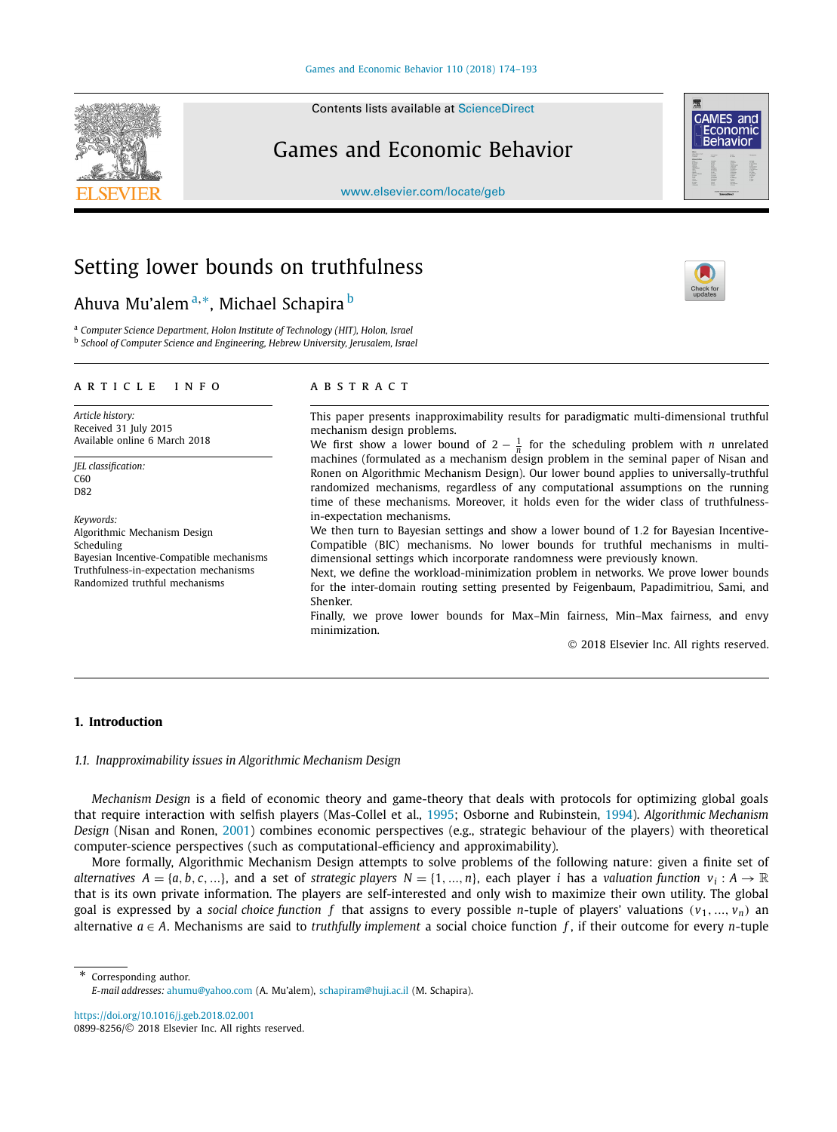Contents lists available at [ScienceDirect](http://www.ScienceDirect.com/)

## Games and Economic Behavior

[www.elsevier.com/locate/geb](http://www.elsevier.com/locate/geb)

# Setting lower bounds on truthfulness

Ahuva Mu'alem <sup>a</sup>*,*∗, Michael Schapira <sup>b</sup>

<sup>a</sup> *Computer Science Department, Holon Institute of Technology (HIT), Holon, Israel* <sup>b</sup> *School of Computer Science and Engineering, Hebrew University, Jerusalem, Israel*

#### A R T I C L E I N F O A B S T R A C T

*Article history:* Received 31 July 2015 Available online 6 March 2018

*JEL classification:* C60 D82

*Keywords:* Algorithmic Mechanism Design Scheduling Bayesian Incentive-Compatible mechanisms Truthfulness-in-expectation mechanisms Randomized truthful mechanisms

This paper presents inapproximability results for paradigmatic multi-dimensional truthful mechanism design problems.

We first show a lower bound of  $2 - \frac{1}{n}$  for the scheduling problem with *n* unrelated machines (formulated as a mechanism design problem in the seminal paper of Nisan and Ronen on Algorithmic Mechanism Design). Our lower bound applies to universally-truthful randomized mechanisms, regardless of any computational assumptions on the running time of these mechanisms. Moreover, it holds even for the wider class of truthfulnessin-expectation mechanisms.

We then turn to Bayesian settings and show a lower bound of 1*.*2 for Bayesian Incentive-Compatible (BIC) mechanisms. No lower bounds for truthful mechanisms in multidimensional settings which incorporate randomness were previously known.

Next, we define the workload-minimization problem in networks. We prove lower bounds for the inter-domain routing setting presented by Feigenbaum, Papadimitriou, Sami, and Shenker.

Finally, we prove lower bounds for Max–Min fairness, Min–Max fairness, and envy minimization.

© 2018 Elsevier Inc. All rights reserved.

#### **1. Introduction**

### *1.1. Inapproximability issues in Algorithmic Mechanism Design*

*Mechanism Design* is a field of economic theory and game-theory that deals with protocols for optimizing global goals that require interaction with selfish players (Mas-Collel et al., [1995;](#page-19-0) Osborne and Rubinstein, [1994\)](#page-19-0). *Algorithmic Mechanism Design* (Nisan and Ronen, [2001\)](#page-19-0) combines economic perspectives (e.g., strategic behaviour of the players) with theoretical computer-science perspectives (such as computational-efficiency and approximability).

More formally, Algorithmic Mechanism Design attempts to solve problems of the following nature: given a finite set of alternatives  $A = \{a, b, c, ...\}$ , and a set of strategic players  $N = \{1, ..., n\}$ , each player i has a valuation function  $v_i : A \to \mathbb{R}$ that is its own private information. The players are self-interested and only wish to maximize their own utility. The global goal is expressed by a *social choice function f* that assigns to every possible *n*-tuple of players' valuations  $(v_1, ..., v_n)$  an alternative  $a \in A$ . Mechanisms are said to *truthfully implement* a social choice function  $f$ , if their outcome for every *n*-tuple

Corresponding author. *E-mail addresses:* [ahumu@yahoo.com](mailto:ahumu@yahoo.com) (A. Mu'alem), [schapiram@huji.ac.il](mailto:schapiram@huji.ac.il) (M. Schapira).

<https://doi.org/10.1016/j.geb.2018.02.001> 0899-8256/© 2018 Elsevier Inc. All rights reserved.





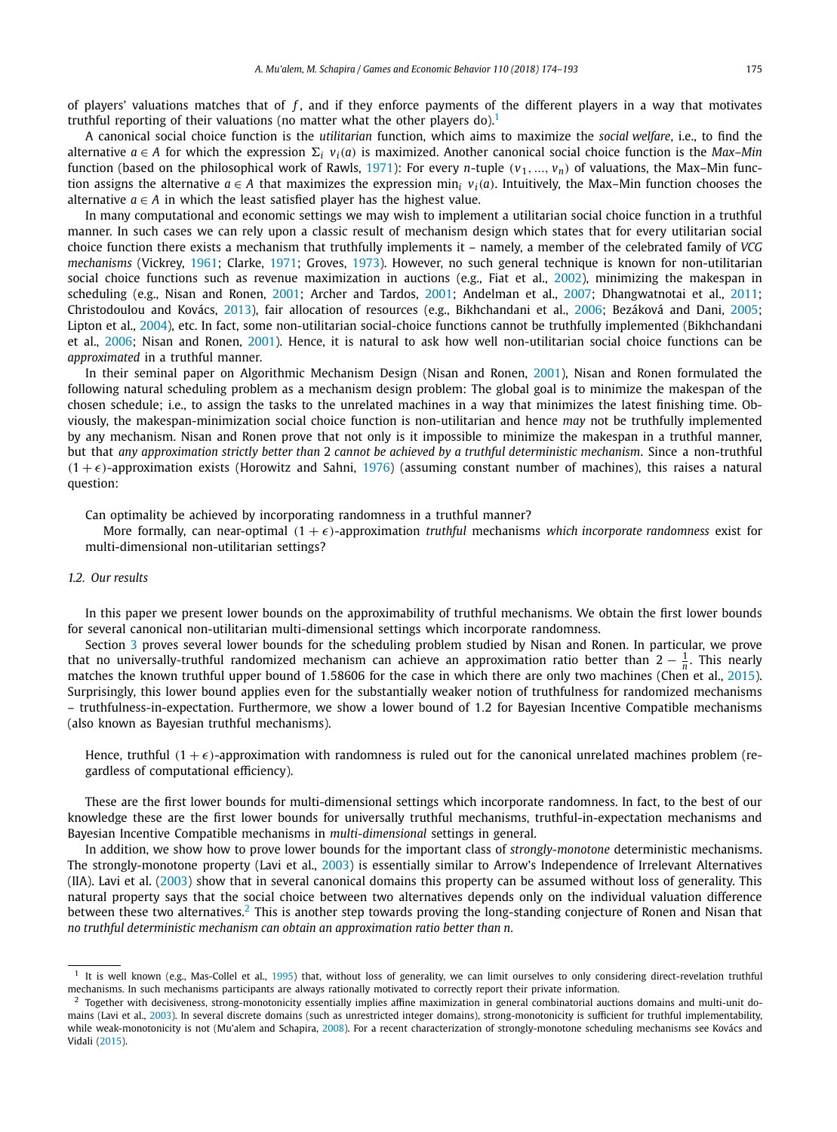of players' valuations matches that of *f* , and if they enforce payments of the different players in a way that motivates truthful reporting of their valuations (no matter what the other players do).<sup>1</sup>

A canonical social choice function is the *utilitarian* function, which aims to maximize the *social welfare*, i.e., to find the alternative  $a \in A$  for which the expression  $\Sigma_i$   $v_i(a)$  is maximized. Another canonical social choice function is the *Max–Min* function (based on the philosophical work of Rawls, [1971\)](#page-19-0): For every *n*-tuple  $(v_1, ..., v_n)$  of valuations, the Max–Min function assigns the alternative  $a \in A$  that maximizes the expression min<sub>i</sub>  $v_i(a)$ . Intuitively, the Max–Min function chooses the alternative  $a \in A$  in which the least satisfied player has the highest value.

In many computational and economic settings we may wish to implement a utilitarian social choice function in a truthful manner. In such cases we can rely upon a classic result of mechanism design which states that for every utilitarian social choice function there exists a mechanism that truthfully implements it – namely, a member of the celebrated family of *VCG mechanisms* (Vickrey, [1961;](#page-19-0) Clarke, [1971;](#page-18-0) Groves, [1973\)](#page-19-0). However, no such general technique is known for non-utilitarian social choice functions such as revenue maximization in auctions (e.g., Fiat et al., [2002\)](#page-18-0), minimizing the makespan in scheduling (e.g., Nisan and Ronen, [2001;](#page-19-0) Archer and Tardos, [2001;](#page-18-0) Andelman et al., [2007;](#page-18-0) Dhangwatnotai et al., [2011;](#page-18-0) Christodoulou and Kovács, [2013\)](#page-18-0), fair allocation of resources (e.g., Bikhchandani et al., [2006;](#page-18-0) Bezáková and Dani, [2005;](#page-18-0) Lipton et al., [2004\)](#page-19-0), etc. In fact, some non-utilitarian social-choice functions cannot be truthfully implemented (Bikhchandani et al., [2006;](#page-18-0) Nisan and Ronen, [2001\)](#page-19-0). Hence, it is natural to ask how well non-utilitarian social choice functions can be *approximated* in a truthful manner.

In their seminal paper on Algorithmic Mechanism Design (Nisan and Ronen, [2001\)](#page-19-0), Nisan and Ronen formulated the following natural scheduling problem as a mechanism design problem: The global goal is to minimize the makespan of the chosen schedule; i.e., to assign the tasks to the unrelated machines in a way that minimizes the latest finishing time. Obviously, the makespan-minimization social choice function is non-utilitarian and hence *may* not be truthfully implemented by any mechanism. Nisan and Ronen prove that not only is it impossible to minimize the makespan in a truthful manner, but that *any approximation strictly better than* 2 *cannot be achieved by a truthful deterministic mechanism*. Since a non-truthful  $(1 + \epsilon)$ -approximation exists (Horowitz and Sahni, [1976\)](#page-19-0) (assuming constant number of machines), this raises a natural question:

Can optimality be achieved by incorporating randomness in a truthful manner?

More formally, can near-optimal  $(1 + \epsilon)$ -approximation *truthful* mechanisms which incorporate randomness exist for multi-dimensional non-utilitarian settings?

#### *1.2. Our results*

In this paper we present lower bounds on the approximability of truthful mechanisms. We obtain the first lower bounds for several canonical non-utilitarian multi-dimensional settings which incorporate randomness.

Section [3](#page-4-0) proves several lower bounds for the scheduling problem studied by Nisan and Ronen. In particular, we prove that no universally-truthful randomized mechanism can achieve an approximation ratio better than 2 − <sup>1</sup> *<sup>n</sup>* . This nearly matches the known truthful upper bound of 1*.*58606 for the case in which there are only two machines (Chen et al., [2015\)](#page-18-0). Surprisingly, this lower bound applies even for the substantially weaker notion of truthfulness for randomized mechanisms – truthfulness-in-expectation. Furthermore, we show a lower bound of 1*.*2 for Bayesian Incentive Compatible mechanisms (also known as Bayesian truthful mechanisms).

Hence, truthful  $(1 + \epsilon)$ -approximation with randomness is ruled out for the canonical unrelated machines problem (regardless of computational efficiency).

These are the first lower bounds for multi-dimensional settings which incorporate randomness. In fact, to the best of our knowledge these are the first lower bounds for universally truthful mechanisms, truthful-in-expectation mechanisms and Bayesian Incentive Compatible mechanisms in *multi-dimensional* settings in general.

In addition, we show how to prove lower bounds for the important class of *strongly-monotone* deterministic mechanisms. The strongly-monotone property (Lavi et al., [2003\)](#page-19-0) is essentially similar to Arrow's Independence of Irrelevant Alternatives (IIA). Lavi et al. [\(2003\)](#page-19-0) show that in several canonical domains this property can be assumed without loss of generality. This natural property says that the social choice between two alternatives depends only on the individual valuation difference between these two alternatives.<sup>2</sup> This is another step towards proving the long-standing conjecture of Ronen and Nisan that *no truthful deterministic mechanism can obtain an approximation ratio better than n.*

 $1$  It is well known (e.g., Mas-Collel et al., [1995\)](#page-19-0) that, without loss of generality, we can limit ourselves to only considering direct-revelation truthful mechanisms. In such mechanisms participants are always rationally motivated to correctly report their private information.

 $^2$  Together with decisiveness, strong-monotonicity essentially implies affine maximization in general combinatorial auctions domains and multi-unit domains (Lavi et al., [2003\)](#page-19-0). In several discrete domains (such as unrestricted integer domains), strong-monotonicity is sufficient for truthful implementability, while weak-monotonicity is not (Mu'alem and Schapira, [2008\)](#page-19-0). For a recent characterization of strongly-monotone scheduling mechanisms see Kovács and Vidali [\(2015\)](#page-19-0).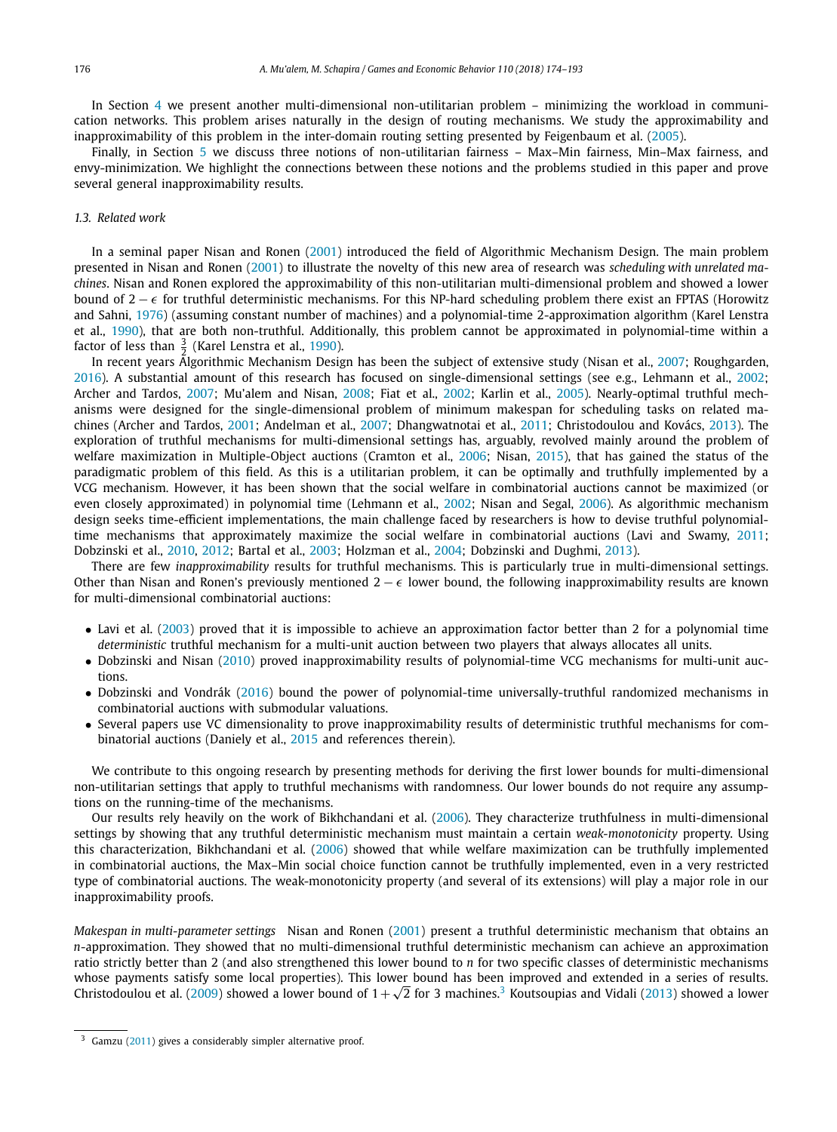In Section [4](#page-12-0) we present another multi-dimensional non-utilitarian problem – minimizing the workload in communication networks. This problem arises naturally in the design of routing mechanisms. We study the approximability and inapproximability of this problem in the inter-domain routing setting presented by Feigenbaum et al. [\(2005\)](#page-18-0).

Finally, in Section [5](#page-14-0) we discuss three notions of non-utilitarian fairness – Max–Min fairness, Min–Max fairness, and envy-minimization. We highlight the connections between these notions and the problems studied in this paper and prove several general inapproximability results.

#### *1.3. Related work*

In a seminal paper Nisan and Ronen [\(2001\)](#page-19-0) introduced the field of Algorithmic Mechanism Design. The main problem presented in Nisan and Ronen [\(2001\)](#page-19-0) to illustrate the novelty of this new area of research was *scheduling with unrelated machines*. Nisan and Ronen explored the approximability of this non-utilitarian multi-dimensional problem and showed a lower bound of  $2 - \epsilon$  for truthful deterministic mechanisms. For this NP-hard scheduling problem there exist an FPTAS (Horowitz and Sahni, [1976\)](#page-19-0) (assuming constant number of machines) and a polynomial-time 2-approximation algorithm (Karel Lenstra et al., [1990\)](#page-19-0), that are both non-truthful. Additionally, this problem cannot be approximated in polynomial-time within a factor of less than  $\frac{3}{2}$  (Karel Lenstra et al., [1990\)](#page-19-0).

In recent years Algorithmic Mechanism Design has been the subject of extensive study (Nisan et al., [2007;](#page-19-0) Roughgarden, [2016\)](#page-19-0). A substantial amount of this research has focused on single-dimensional settings (see e.g., Lehmann et al., [2002;](#page-19-0) Archer and Tardos, [2007;](#page-18-0) Mu'alem and Nisan, [2008;](#page-19-0) Fiat et al., [2002;](#page-18-0) Karlin et al., [2005\)](#page-19-0). Nearly-optimal truthful mechanisms were designed for the single-dimensional problem of minimum makespan for scheduling tasks on related machines (Archer and Tardos, [2001;](#page-18-0) Andelman et al., [2007;](#page-18-0) Dhangwatnotai et al., [2011;](#page-18-0) Christodoulou and Kovács, [2013\)](#page-18-0). The exploration of truthful mechanisms for multi-dimensional settings has, arguably, revolved mainly around the problem of welfare maximization in Multiple-Object auctions (Cramton et al., [2006;](#page-18-0) Nisan, [2015\)](#page-19-0), that has gained the status of the paradigmatic problem of this field. As this is a utilitarian problem, it can be optimally and truthfully implemented by a VCG mechanism. However, it has been shown that the social welfare in combinatorial auctions cannot be maximized (or even closely approximated) in polynomial time (Lehmann et al., [2002;](#page-19-0) Nisan and Segal, [2006\)](#page-19-0). As algorithmic mechanism design seeks time-efficient implementations, the main challenge faced by researchers is how to devise truthful polynomialtime mechanisms that approximately maximize the social welfare in combinatorial auctions (Lavi and Swamy, [2011;](#page-19-0) Dobzinski et al., [2010,](#page-18-0) [2012;](#page-18-0) Bartal et al., [2003;](#page-18-0) Holzman et al., [2004;](#page-19-0) Dobzinski and Dughmi, [2013\)](#page-18-0).

There are few *inapproximability* results for truthful mechanisms. This is particularly true in multi-dimensional settings. Other than Nisan and Ronen's previously mentioned  $2 - \epsilon$  lower bound, the following inapproximability results are known for multi-dimensional combinatorial auctions:

- Lavi et al. [\(2003\)](#page-19-0) proved that it is impossible to achieve an approximation factor better than 2 for a polynomial time *deterministic* truthful mechanism for a multi-unit auction between two players that always allocates all units.
- Dobzinski and Nisan [\(2010\)](#page-18-0) proved inapproximability results of polynomial-time VCG mechanisms for multi-unit auctions.
- Dobzinski and Vondrák [\(2016\)](#page-18-0) bound the power of polynomial-time universally-truthful randomized mechanisms in combinatorial auctions with submodular valuations.
- Several papers use VC dimensionality to prove inapproximability results of deterministic truthful mechanisms for combinatorial auctions (Daniely et al., [2015](#page-18-0) and references therein).

We contribute to this ongoing research by presenting methods for deriving the first lower bounds for multi-dimensional non-utilitarian settings that apply to truthful mechanisms with randomness. Our lower bounds do not require any assumptions on the running-time of the mechanisms.

Our results rely heavily on the work of Bikhchandani et al. [\(2006\)](#page-18-0). They characterize truthfulness in multi-dimensional settings by showing that any truthful deterministic mechanism must maintain a certain *weak-monotonicity* property. Using this characterization, Bikhchandani et al. [\(2006\)](#page-18-0) showed that while welfare maximization can be truthfully implemented in combinatorial auctions, the Max–Min social choice function cannot be truthfully implemented, even in a very restricted type of combinatorial auctions. The weak-monotonicity property (and several of its extensions) will play a major role in our inapproximability proofs.

*Makespan in multi-parameter settings* Nisan and Ronen [\(2001\)](#page-19-0) present a truthful deterministic mechanism that obtains an *n*-approximation. They showed that no multi-dimensional truthful deterministic mechanism can achieve an approximation ratio strictly better than 2 (and also strengthened this lower bound to *n* for two specific classes of deterministic mechanisms whose payments satisfy some local properties). This lower bound has been improved and extended in a series of results. Christodoulou et al. [\(2009\)](#page-18-0) showed a lower bound of  $1+\sqrt{2}$  for 3 machines.<sup>3</sup> Koutsoupias and Vidali [\(2013\)](#page-19-0) showed a lower

<sup>&</sup>lt;sup>3</sup> Gamzu [\(2011\)](#page-19-0) gives a considerably simpler alternative proof.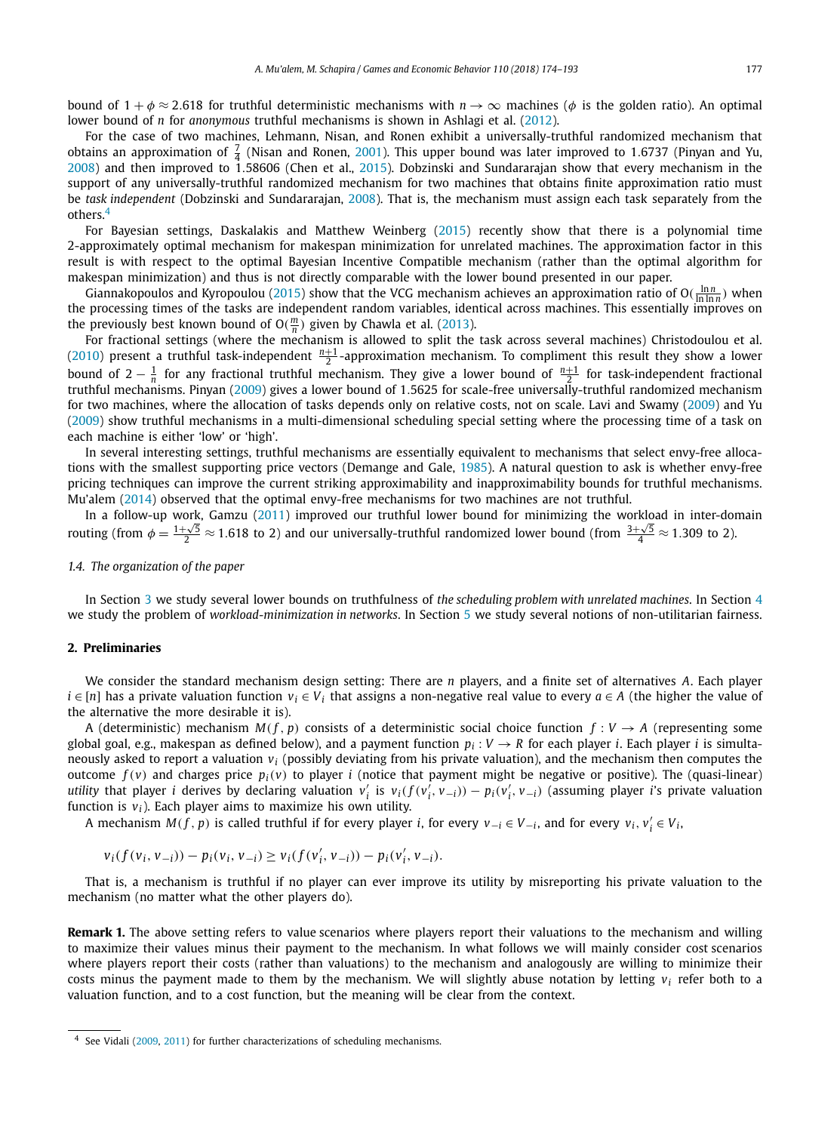bound of  $1 + \phi \approx 2.618$  for truthful deterministic mechanisms with  $n \to \infty$  machines ( $\phi$  is the golden ratio). An optimal lower bound of *n* for *anonymous* truthful mechanisms is shown in Ashlagi et al. [\(2012\)](#page-18-0).

For the case of two machines, Lehmann, Nisan, and Ronen exhibit a universally-truthful randomized mechanism that obtains an approximation of  $\frac{7}{4}$  (Nisan and Ronen, [2001\)](#page-19-0). This upper bound was later improved to 1.6737 (Pinyan and Yu, [2008\)](#page-19-0) and then improved to 1*.*58606 (Chen et al., [2015\)](#page-18-0). Dobzinski and Sundararajan show that every mechanism in the support of any universally-truthful randomized mechanism for two machines that obtains finite approximation ratio must be *task independent* (Dobzinski and Sundararajan, [2008\)](#page-18-0). That is, the mechanism must assign each task separately from the others.<sup>4</sup>

For Bayesian settings, Daskalakis and Matthew Weinberg [\(2015\)](#page-18-0) recently show that there is a polynomial time 2-approximately optimal mechanism for makespan minimization for unrelated machines. The approximation factor in this result is with respect to the optimal Bayesian Incentive Compatible mechanism (rather than the optimal algorithm for makespan minimization) and thus is not directly comparable with the lower bound presented in our paper.

Giannakopoulos and Kyropoulou [\(2015\)](#page-19-0) show that the VCG mechanism achieves an approximation ratio of  $O(\frac{\ln n}{\ln \ln n})$  when the processing times of the tasks are independent random variables, identical across machines. This essentially improves on the previously best known bound of  $O(\frac{m}{n})$  given by Chawla et al. [\(2013\)](#page-18-0).

For fractional settings (where the mechanism is allowed to split the task across several machines) Christodoulou et al. [\(2010\)](#page-18-0) present a truthful task-independent  $\frac{n+1}{2}$ -approximation mechanism. To compliment this result they show a lower bound of  $2-\frac{1}{n}$  for any fractional truthful mechanism. They give a lower bound of  $\frac{n+1}{2}$  for task-independent fractional truthful mechanisms. Pinyan [\(2009\)](#page-19-0) gives a lower bound of 1*.*5625 for scale-free universally-truthful randomized mechanism for two machines, where the allocation of tasks depends only on relative costs, not on scale. Lavi and Swamy [\(2009\)](#page-19-0) and Yu [\(2009\)](#page-19-0) show truthful mechanisms in a multi-dimensional scheduling special setting where the processing time of a task on each machine is either 'low' or 'high'.

In several interesting settings, truthful mechanisms are essentially equivalent to mechanisms that select envy-free allocations with the smallest supporting price vectors (Demange and Gale, [1985\)](#page-18-0). A natural question to ask is whether envy-free pricing techniques can improve the current striking approximability and inapproximability bounds for truthful mechanisms. Mu'alem [\(2014\)](#page-19-0) observed that the optimal envy-free mechanisms for two machines are not truthful.

In a follow-up work, Gamzu [\(2011\)](#page-19-0) improved our truthful lower bound for minimizing the workload in inter-domain routing (from  $\phi = \frac{1+\sqrt{5}}{2} \approx 1.618$  to 2) and our universally-truthful randomized lower bound (from  $\frac{3+\sqrt{5}}{4} \approx 1.309$  to 2).

#### *1.4. The organization of the paper*

In Section [3](#page-4-0) we study several lower bounds on truthfulness of *the scheduling problem with unrelated machines*. In Section [4](#page-12-0) we study the problem of *workload-minimization in networks*. In Section [5](#page-14-0) we study several notions of non-utilitarian fairness.

#### **2. Preliminaries**

We consider the standard mechanism design setting: There are *n* players, and a finite set of alternatives *A*. Each player  $i \in [n]$  has a private valuation function  $v_i \in V_i$  that assigns a non-negative real value to every  $a \in A$  (the higher the value of the alternative the more desirable it is).

A (deterministic) mechanism  $M(f, p)$  consists of a deterministic social choice function  $f: V \to A$  (representing some global goal, e.g., makespan as defined below), and a payment function  $p_i: V \to R$  for each player *i*. Each player *i* is simultaneously asked to report a valuation *vi* (possibly deviating from his private valuation), and the mechanism then computes the outcome  $f(v)$  and charges price  $p_i(v)$  to player *i* (notice that payment might be negative or positive). The (quasi-linear) utility that player *i* derives by declaring valuation  $v'_i$  is  $v_i(f(v'_i, v_{-i})) - p_i(v'_i, v_{-i})$  (assuming player *i*'s private valuation function is  $v_i$ ). Each player aims to maximize his own utility.

A mechanism  $M(f, p)$  is called truthful if for every player *i*, for every  $v_{-i} \in V_{-i}$ , and for every  $v_i, v'_i \in V_i$ ,

$$
v_i(f(v_i, v_{-i})) - p_i(v_i, v_{-i}) \ge v_i(f(v'_i, v_{-i})) - p_i(v'_i, v_{-i}).
$$

That is, a mechanism is truthful if no player can ever improve its utility by misreporting his private valuation to the mechanism (no matter what the other players do).

**Remark 1.** The above setting refers to value scenarios where players report their valuations to the mechanism and willing to maximize their values minus their payment to the mechanism. In what follows we will mainly consider cost scenarios where players report their costs (rather than valuations) to the mechanism and analogously are willing to minimize their costs minus the payment made to them by the mechanism. We will slightly abuse notation by letting  $v_i$  refer both to a valuation function, and to a cost function, but the meaning will be clear from the context.

<sup>4</sup> See Vidali [\(2009,](#page-19-0) [2011\)](#page-19-0) for further characterizations of scheduling mechanisms.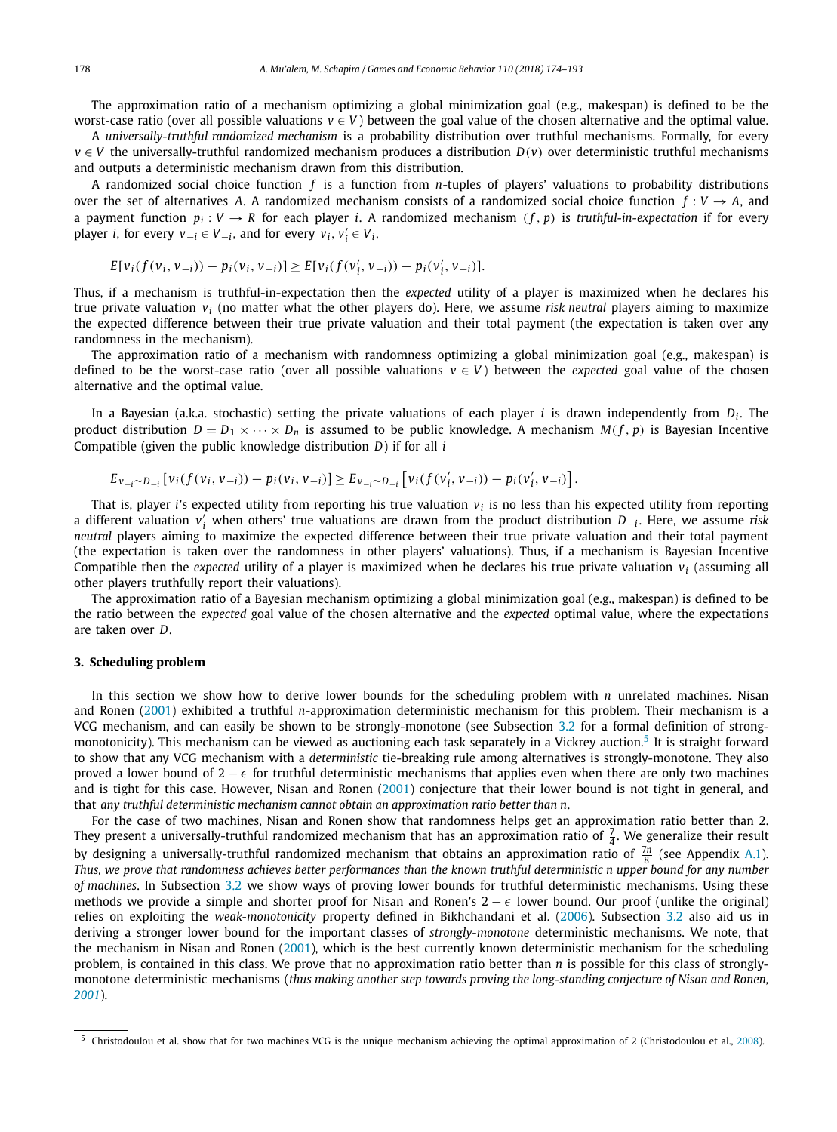<span id="page-4-0"></span>The approximation ratio of a mechanism optimizing a global minimization goal (e.g., makespan) is defined to be the worst-case ratio (over all possible valuations  $v \in V$ ) between the goal value of the chosen alternative and the optimal value.

A *universally-truthful randomized mechanism* is a probability distribution over truthful mechanisms. Formally, for every *v* ∈ *V* the universally-truthful randomized mechanism produces a distribution *D(v)* over deterministic truthful mechanisms and outputs a deterministic mechanism drawn from this distribution.

A randomized social choice function *f* is a function from *n*-tuples of players' valuations to probability distributions over the set of alternatives A. A randomized mechanism consists of a randomized social choice function  $f: V \to A$ , and a payment function  $p_i : V \to R$  for each player *i*. A randomized mechanism  $(f, p)$  is *truthful-in-expectation* if for every player *i*, for every  $v_{-i} \in V_{-i}$ , and for every  $v_i, v'_i \in V_i$ ,

$$
E[v_i(f(v_i, v_{-i})) - p_i(v_i, v_{-i})] \ge E[v_i(f(v'_i, v_{-i})) - p_i(v'_i, v_{-i})].
$$

Thus, if a mechanism is truthful-in-expectation then the *expected* utility of a player is maximized when he declares his true private valuation *vi* (no matter what the other players do). Here, we assume *risk neutral* players aiming to maximize the expected difference between their true private valuation and their total payment (the expectation is taken over any randomness in the mechanism).

The approximation ratio of a mechanism with randomness optimizing a global minimization goal (e.g., makespan) is defined to be the worst-case ratio (over all possible valuations  $v \in V$ ) between the *expected* goal value of the chosen alternative and the optimal value.

In a Bayesian (a.k.a. stochastic) setting the private valuations of each player *i* is drawn independently from  $D_i$ . The product distribution  $D = D_1 \times \cdots \times D_n$  is assumed to be public knowledge. A mechanism  $M(f, p)$  is Bayesian Incentive Compatible (given the public knowledge distribution *D*) if for all *i*

$$
E_{v_{-i} \sim D_{-i}}[v_i(f(v_i, v_{-i})) - p_i(v_i, v_{-i})] \ge E_{v_{-i} \sim D_{-i}}[v_i(f(v'_i, v_{-i})) - p_i(v'_i, v_{-i})].
$$

That is, player *i*'s expected utility from reporting his true valuation  $v_i$  is no less than his expected utility from reporting a different valuation *v <sup>i</sup>* when others' true valuations are drawn from the product distribution *D*−*<sup>i</sup>* . Here, we assume *risk neutral* players aiming to maximize the expected difference between their true private valuation and their total payment (the expectation is taken over the randomness in other players' valuations). Thus, if a mechanism is Bayesian Incentive Compatible then the *expected* utility of a player is maximized when he declares his true private valuation *vi* (assuming all other players truthfully report their valuations).

The approximation ratio of a Bayesian mechanism optimizing a global minimization goal (e.g., makespan) is defined to be the ratio between the *expected* goal value of the chosen alternative and the *expected* optimal value, where the expectations are taken over *D*.

#### **3. Scheduling problem**

In this section we show how to derive lower bounds for the scheduling problem with *n* unrelated machines. Nisan and Ronen [\(2001\)](#page-19-0) exhibited a truthful *n*-approximation deterministic mechanism for this problem. Their mechanism is a VCG mechanism, and can easily be shown to be strongly-monotone (see Subsection [3.2](#page-5-0) for a formal definition of strongmonotonicity). This mechanism can be viewed as auctioning each task separately in a Vickrey auction.<sup>5</sup> It is straight forward to show that any VCG mechanism with a *deterministic* tie-breaking rule among alternatives is strongly-monotone. They also proved a lower bound of  $2 - \epsilon$  for truthful deterministic mechanisms that applies even when there are only two machines and is tight for this case. However, Nisan and Ronen [\(2001\)](#page-19-0) conjecture that their lower bound is not tight in general, and that *any truthful deterministic mechanism cannot obtain an approximation ratio better than n*.

For the case of two machines, Nisan and Ronen show that randomness helps get an approximation ratio better than 2. They present a universally-truthful randomized mechanism that has an approximation ratio of  $\frac{7}{4}$ . We generalize their result by designing a universally-truthful randomized mechanism that obtains an approximation ratio of  $\frac{7n}{8}$  (see Appendix [A.1\)](#page-16-0). Thus, we prove that randomness achieves better performances than the known truthful deterministic n upper bound for any number *of machines*. In Subsection [3.2](#page-5-0) we show ways of proving lower bounds for truthful deterministic mechanisms. Using these methods we provide a simple and shorter proof for Nisan and Ronen's  $2 - \epsilon$  lower bound. Our proof (unlike the original) relies on exploiting the *weak-monotonicity* property defined in Bikhchandani et al. [\(2006\)](#page-18-0). Subsection [3.2](#page-5-0) also aid us in deriving a stronger lower bound for the important classes of *strongly-monotone* deterministic mechanisms. We note, that the mechanism in Nisan and Ronen [\(2001\)](#page-19-0), which is the best currently known deterministic mechanism for the scheduling problem, is contained in this class. We prove that no approximation ratio better than *n* is possible for this class of stronglymonotone deterministic mechanisms (*thus making another step towards proving the long-standing conjecture of Nisan and Ronen, [2001](#page-19-0)*).

<sup>5</sup> Christodoulou et al. show that for two machines VCG is the unique mechanism achieving the optimal approximation of 2 (Christodoulou et al., [2008\)](#page-18-0).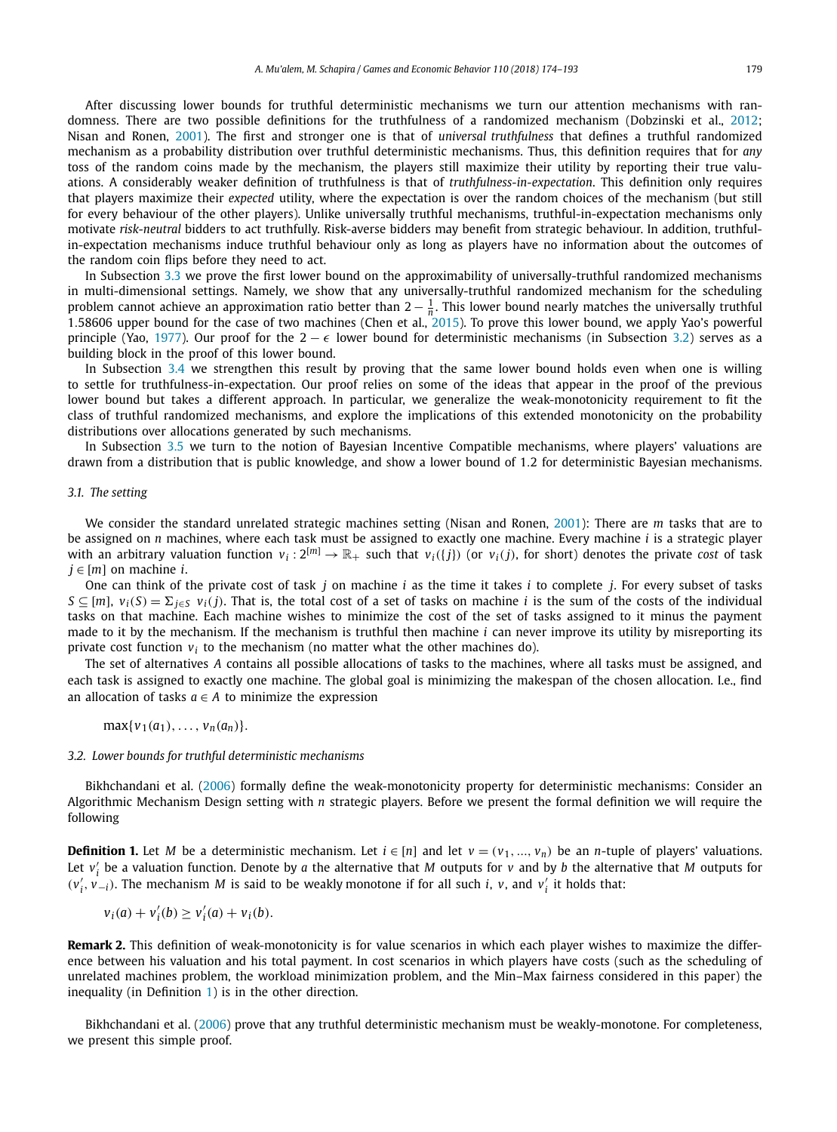<span id="page-5-0"></span>After discussing lower bounds for truthful deterministic mechanisms we turn our attention mechanisms with ran-domness. There are two possible definitions for the truthfulness of a randomized mechanism (Dobzinski et al., [2012;](#page-18-0) Nisan and Ronen, [2001\)](#page-19-0). The first and stronger one is that of *universal truthfulness* that defines a truthful randomized mechanism as a probability distribution over truthful deterministic mechanisms. Thus, this definition requires that for *any* toss of the random coins made by the mechanism, the players still maximize their utility by reporting their true valuations. A considerably weaker definition of truthfulness is that of *truthfulness-in-expectation*. This definition only requires that players maximize their *expected* utility, where the expectation is over the random choices of the mechanism (but still for every behaviour of the other players). Unlike universally truthful mechanisms, truthful-in-expectation mechanisms only motivate *risk-neutral* bidders to act truthfully. Risk-averse bidders may benefit from strategic behaviour. In addition, truthfulin-expectation mechanisms induce truthful behaviour only as long as players have no information about the outcomes of the random coin flips before they need to act.

In Subsection [3.3](#page-7-0) we prove the first lower bound on the approximability of universally-truthful randomized mechanisms in multi-dimensional settings. Namely, we show that any universally-truthful randomized mechanism for the scheduling problem cannot achieve an approximation ratio better than  $2-\frac{1}{n}$ . This lower bound nearly matches the universally truthful 1*.*58606 upper bound for the case of two machines (Chen et al., [2015\)](#page-18-0). To prove this lower bound, we apply Yao's powerful principle (Yao, [1977\)](#page-19-0). Our proof for the  $2 - \epsilon$  lower bound for deterministic mechanisms (in Subsection 3.2) serves as a building block in the proof of this lower bound.

In Subsection [3.4](#page-8-0) we strengthen this result by proving that the same lower bound holds even when one is willing to settle for truthfulness-in-expectation. Our proof relies on some of the ideas that appear in the proof of the previous lower bound but takes a different approach. In particular, we generalize the weak-monotonicity requirement to fit the class of truthful randomized mechanisms, and explore the implications of this extended monotonicity on the probability distributions over allocations generated by such mechanisms.

In Subsection [3.5](#page-10-0) we turn to the notion of Bayesian Incentive Compatible mechanisms, where players' valuations are drawn from a distribution that is public knowledge, and show a lower bound of 1*.*2 for deterministic Bayesian mechanisms.

#### *3.1. The setting*

We consider the standard unrelated strategic machines setting (Nisan and Ronen, [2001\)](#page-19-0): There are *m* tasks that are to be assigned on *n* machines, where each task must be assigned to exactly one machine. Every machine *i* is a strategic player with an arbitrary valuation function  $v_i: 2^{[m]} \to \mathbb{R}_+$  such that  $v_i(\{j\})$  (or  $v_i(j)$ , for short) denotes the private *cost* of task *j* ∈ [*m*] on machine *i*.

One can think of the private cost of task *j* on machine *i* as the time it takes *i* to complete *j*. For every subset of tasks  $S \subseteq [m]$ ,  $v_i(S) = \sum_{j \in S} v_i(j)$ . That is, the total cost of a set of tasks on machine *i* is the sum of the costs of the individual tasks on that machine. Each machine wishes to minimize the cost of the set of tasks assigned to it minus the payment made to it by the mechanism. If the mechanism is truthful then machine *i* can never improve its utility by misreporting its private cost function  $v_i$  to the mechanism (no matter what the other machines do).

The set of alternatives *A* contains all possible allocations of tasks to the machines, where all tasks must be assigned, and each task is assigned to exactly one machine. The global goal is minimizing the makespan of the chosen allocation. I.e., find an allocation of tasks  $a \in A$  to minimize the expression

$$
\max\{v_1(a_1),\ldots,v_n(a_n)\}.
$$

#### *3.2. Lower bounds for truthful deterministic mechanisms*

Bikhchandani et al. [\(2006\)](#page-18-0) formally define the weak-monotonicity property for deterministic mechanisms: Consider an Algorithmic Mechanism Design setting with *n* strategic players. Before we present the formal definition we will require the following

**Definition 1.** Let *M* be a deterministic mechanism. Let  $i \in [n]$  and let  $v = (v_1, ..., v_n)$  be an *n*-tuple of players' valuations. Let  $v_i'$  be a valuation function. Denote by *a* the alternative that *M* outputs for *v* and by *b* the alternative that *M* outputs for  $(v'_i, v_{-i})$ . The mechanism *M* is said to be weakly monotone if for all such *i*, *v*, and *v*<sub>*i*</sub> it holds that:

$$
v_i(a) + v'_i(b) \ge v'_i(a) + v_i(b).
$$

**Remark 2.** This definition of weak-monotonicity is for value scenarios in which each player wishes to maximize the difference between his valuation and his total payment. In cost scenarios in which players have costs (such as the scheduling of unrelated machines problem, the workload minimization problem, and the Min–Max fairness considered in this paper) the inequality (in Definition 1) is in the other direction.

Bikhchandani et al. [\(2006\)](#page-18-0) prove that any truthful deterministic mechanism must be weakly-monotone. For completeness, we present this simple proof.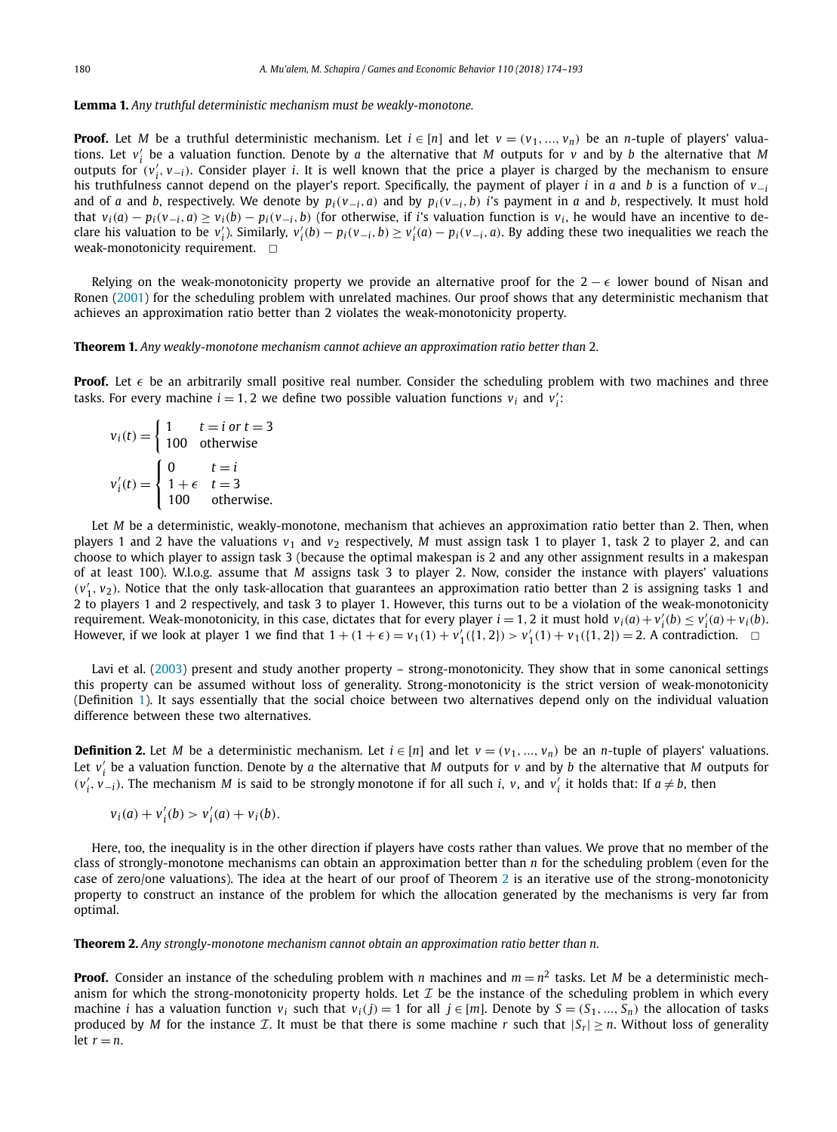#### <span id="page-6-0"></span>**Lemma 1.** *Any truthful deterministic mechanism must be weakly-monotone.*

**Proof.** Let *M* be a truthful deterministic mechanism. Let  $i \in [n]$  and let  $v = (v_1, ..., v_n)$  be an *n*-tuple of players' valuations. Let *v <sup>i</sup>* be a valuation function. Denote by *a* the alternative that *M* outputs for *v* and by *b* the alternative that *M* outputs for  $(v'_i, v_{-i})$ . Consider player *i*. It is well known that the price a player is charged by the mechanism to ensure his truthfulness cannot depend on the player's report. Specifically, the payment of player *i* in *a* and *b* is a function of *v*−*<sup>i</sup>* and of a and b, respectively. We denote by  $p_i(v_{-i}, a)$  and by  $p_i(v_{-i}, b)$  i's payment in a and b, respectively. It must hold that  $v_i(a) - p_i(v_{-i}, a) \ge v_i(b) - p_i(v_{-i}, b)$  (for otherwise, if *i*'s valuation function is  $v_i$ , he would have an incentive to declare his valuation to be  $v'_i$ ). Similarly,  $v'_i(b) - p_i(v_{-i}, b) \ge v'_i(a) - p_i(v_{-i}, a)$ . By adding these two inequalities we reach the weak-monotonicity requirement.  $\square$ 

Relying on the weak-monotonicity property we provide an alternative proof for the  $2 - \epsilon$  lower bound of Nisan and Ronen [\(2001\)](#page-19-0) for the scheduling problem with unrelated machines. Our proof shows that any deterministic mechanism that achieves an approximation ratio better than 2 violates the weak-monotonicity property.

**Theorem 1.** *Any weakly-monotone mechanism cannot achieve an approximation ratio better than* 2*.*

**Proof.** Let  $\epsilon$  be an arbitrarily small positive real number. Consider the scheduling problem with two machines and three tasks. For every machine  $i = 1, 2$  we define two possible valuation functions  $v_i$  and  $v'_i$ :

$$
v_i(t) = \begin{cases} 1 & t = i \text{ or } t = 3\\ 100 & \text{otherwise} \end{cases}
$$
  

$$
v_i'(t) = \begin{cases} 0 & t = i\\ 1 + \epsilon & t = 3\\ 100 & \text{otherwise.} \end{cases}
$$

Let *M* be a deterministic, weakly-monotone, mechanism that achieves an approximation ratio better than 2. Then, when players 1 and 2 have the valuations  $v_1$  and  $v_2$  respectively, M must assign task 1 to player 1, task 2 to player 2, and can choose to which player to assign task 3 (because the optimal makespan is 2 and any other assignment results in a makespan of at least 100). W.l.o.g. assume that *M* assigns task 3 to player 2. Now, consider the instance with players' valuations  $(v'_1, v_2)$ . Notice that the only task-allocation that guarantees an approximation ratio better than 2 is assigning tasks 1 and 2 to players 1 and 2 respectively, and task 3 to player 1. However, this turns out to be a violation of the weak-monotonicity requirement. Weak-monotonicity, in this case, dictates that for every player  $i = 1, 2$  it must hold  $v_i(a) + v'_i(b) \le v'_i(a) + v_i(b)$ . However, if we look at player 1 we find that  $1 + (1 + \epsilon) = v_1(1) + v'_1(\{1, 2\}) > v'_1(1) + v_1(\{1, 2\}) = 2$ . A contradiction.  $\Box$ 

Lavi et al. [\(2003\)](#page-19-0) present and study another property – strong-monotonicity. They show that in some canonical settings this property can be assumed without loss of generality. Strong-monotonicity is the strict version of weak-monotonicity (Definition [1\)](#page-5-0). It says essentially that the social choice between two alternatives depend only on the individual valuation difference between these two alternatives.

**Definition 2.** Let *M* be a deterministic mechanism. Let  $i \in [n]$  and let  $v = (v_1, ..., v_n)$  be an *n*-tuple of players' valuations. Let *v <sup>i</sup>* be a valuation function. Denote by *a* the alternative that *M* outputs for *v* and by *b* the alternative that *M* outputs for  $(v'_i, v_{-i})$ . The mechanism *M* is said to be strongly monotone if for all such *i*, *v*, and *v*<sub>*i*</sub> it holds that: If  $a \neq b$ , then

$$
v_i(a) + v'_i(b) > v'_i(a) + v_i(b).
$$

Here, too, the inequality is in the other direction if players have costs rather than values. We prove that no member of the class of strongly-monotone mechanisms can obtain an approximation better than *n* for the scheduling problem (even for the case of zero/one valuations). The idea at the heart of our proof of Theorem 2 is an iterative use of the strong-monotonicity property to construct an instance of the problem for which the allocation generated by the mechanisms is very far from optimal.

**Theorem 2.** *Any strongly-monotone mechanism cannot obtain an approximation ratio better than n.*

**Proof.** Consider an instance of the scheduling problem with *n* machines and  $m = n^2$  tasks. Let *M* be a deterministic mechanism for which the strong-monotonicity property holds. Let  $\mathcal I$  be the instance of the scheduling problem in which every machine *i* has a valuation function  $v_i$  such that  $v_i(j) = 1$  for all  $j \in [m]$ . Denote by  $S = (S_1, ..., S_n)$  the allocation of tasks produced by *M* for the instance *T*. It must be that there is some machine *r* such that  $|S_r| \ge n$ . Without loss of generality let  $r = n$ .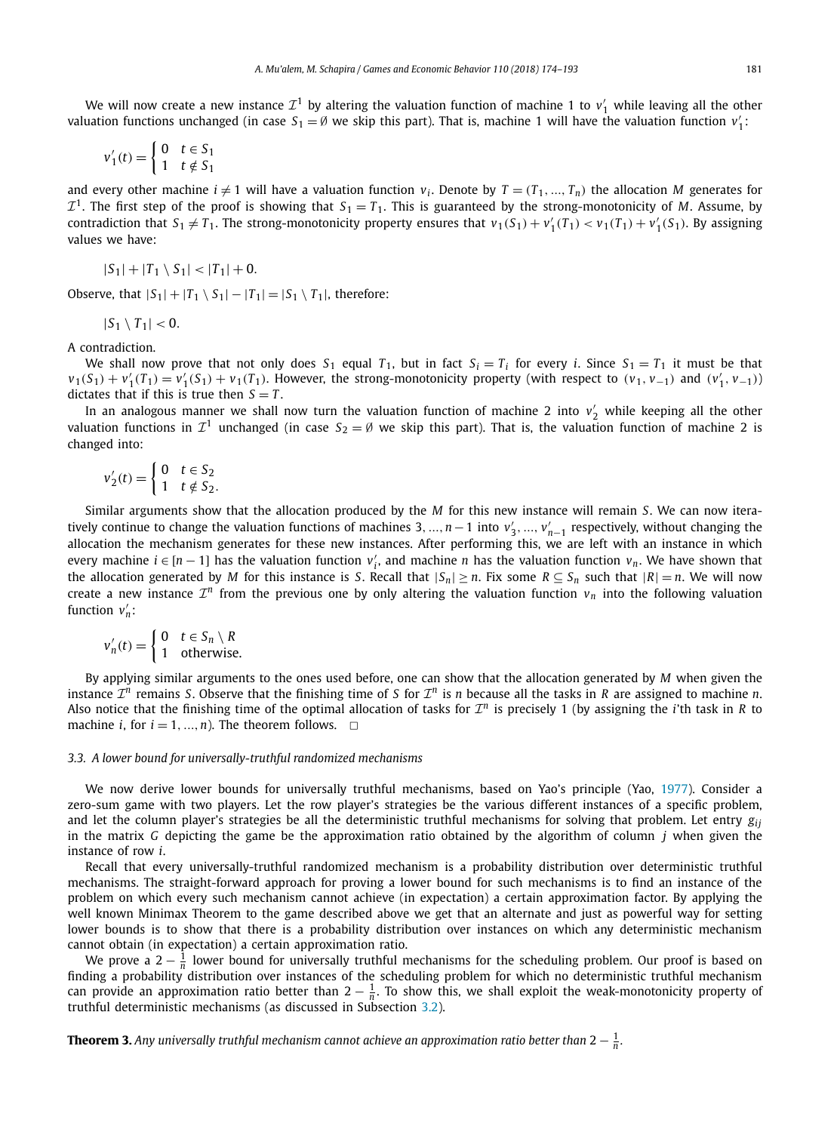<span id="page-7-0"></span>We will now create a new instance  $\mathcal{I}^1$  by altering the valuation function of machine 1 to  $v'_1$  while leaving all the other valuation functions unchanged (in case  $S_1 = \emptyset$  we skip this part). That is, machine 1 will have the valuation function  $v_1'$ :

$$
v_1'(t) = \begin{cases} 0 & t \in S_1 \\ 1 & t \notin S_1 \end{cases}
$$

and every other machine  $i \neq 1$  will have a valuation function  $v_i$ . Denote by  $T = (T_1, ..., T_n)$  the allocation *M* generates for  $\mathcal{I}^1$ . The first step of the proof is showing that  $S_1 = T_1$ . This is guaranteed by the strong-monotonicity of *M*. Assume, by contradiction that  $S_1 \neq T_1$ . The strong-monotonicity property ensures that  $v_1(S_1) + v'_1(T_1) < v_1(T_1) + v'_1(S_1)$ . By assigning values we have:

$$
|S_1| + |T_1 \setminus S_1| < |T_1| + 0.
$$

Observe, that  $|S_1| + |T_1 \setminus S_1| - |T_1| = |S_1 \setminus T_1|$ , therefore:

 $|S_1 \setminus T_1| < 0$ .

A contradiction.

We shall now prove that not only does  $S_1$  equal  $T_1$ , but in fact  $S_i = T_i$  for every *i*. Since  $S_1 = T_1$  it must be that  $v_1(S_1) + v'_1(T_1) = v'_1(S_1) + v_1(T_1)$ . However, the strong-monotonicity property (with respect to  $(v_1, v_{-1})$  and  $(v'_1, v_{-1})$ ) dictates that if this is true then  $S = T$ .

In an analogous manner we shall now turn the valuation function of machine 2 into  $v_2'$  while keeping all the other valuation functions in  $\mathcal{I}^1$  unchanged (in case  $S_2 = \emptyset$  we skip this part). That is, the valuation function of machine 2 is changed into:

$$
v_2'(t) = \begin{cases} 0 & t \in S_2 \\ 1 & t \notin S_2. \end{cases}
$$

Similar arguments show that the allocation produced by the *M* for this new instance will remain *S*. We can now iteratively continue to change the valuation functions of machines 3*,...,n*−1 into *v* <sup>3</sup>*,..., <sup>v</sup> <sup>n</sup>*−<sup>1</sup> respectively, without changing the allocation the mechanism generates for these new instances. After performing this, we are left with an instance in which every machine  $i \in [n-1]$  has the valuation function  $v'_i$ , and machine *n* has the valuation function  $v_n$ . We have shown that the allocation generated by *M* for this instance is *S*. Recall that  $|S_n| \ge n$ . Fix some  $R \subseteq S_n$  such that  $|R| = n$ . We will now create a new instance  $\mathcal{I}^n$  from the previous one by only altering the valuation function  $v_n$  into the following valuation function  $v'_n$ :

$$
v'_n(t) = \begin{cases} 0 & t \in S_n \setminus R \\ 1 & \text{otherwise.} \end{cases}
$$

By applying similar arguments to the ones used before, one can show that the allocation generated by *M* when given the instance  $\mathcal{I}^n$  remains *S*. Observe that the finishing time of *S* for  $\mathcal{I}^n$  is *n* because all the tasks in *R* are assigned to machine *n*. Also notice that the finishing time of the optimal allocation of tasks for  $\mathcal{I}^n$  is precisely 1 (by assigning the *i*'th task in *R* to machine *i*, for  $i = 1, ..., n$ ). The theorem follows.  $\Box$ 

#### *3.3. A lower bound for universally-truthful randomized mechanisms*

We now derive lower bounds for universally truthful mechanisms, based on Yao's principle (Yao, [1977\)](#page-19-0). Consider a zero-sum game with two players. Let the row player's strategies be the various different instances of a specific problem, and let the column player's strategies be all the deterministic truthful mechanisms for solving that problem. Let entry  $g_{ij}$ in the matrix *G* depicting the game be the approximation ratio obtained by the algorithm of column *j* when given the instance of row *i*.

Recall that every universally-truthful randomized mechanism is a probability distribution over deterministic truthful mechanisms. The straight-forward approach for proving a lower bound for such mechanisms is to find an instance of the problem on which every such mechanism cannot achieve (in expectation) a certain approximation factor. By applying the well known Minimax Theorem to the game described above we get that an alternate and just as powerful way for setting lower bounds is to show that there is a probability distribution over instances on which any deterministic mechanism cannot obtain (in expectation) a certain approximation ratio.

We prove a  $2-\frac{1}{n}$  lower bound for universally truthful mechanisms for the scheduling problem. Our proof is based on finding a probability distribution over instances of the scheduling problem for which no deterministic truthful mechanism can provide an approximation ratio better than 2  $-\frac{1}{n}$ . To show this, we shall exploit the weak-monotonicity property of truthful deterministic mechanisms (as discussed in Subsection [3.2\)](#page-5-0).

**Theorem 3.** *Any universally truthful mechanism cannot achieve an approximation ratio better than* 2 − <sup>1</sup> *n .*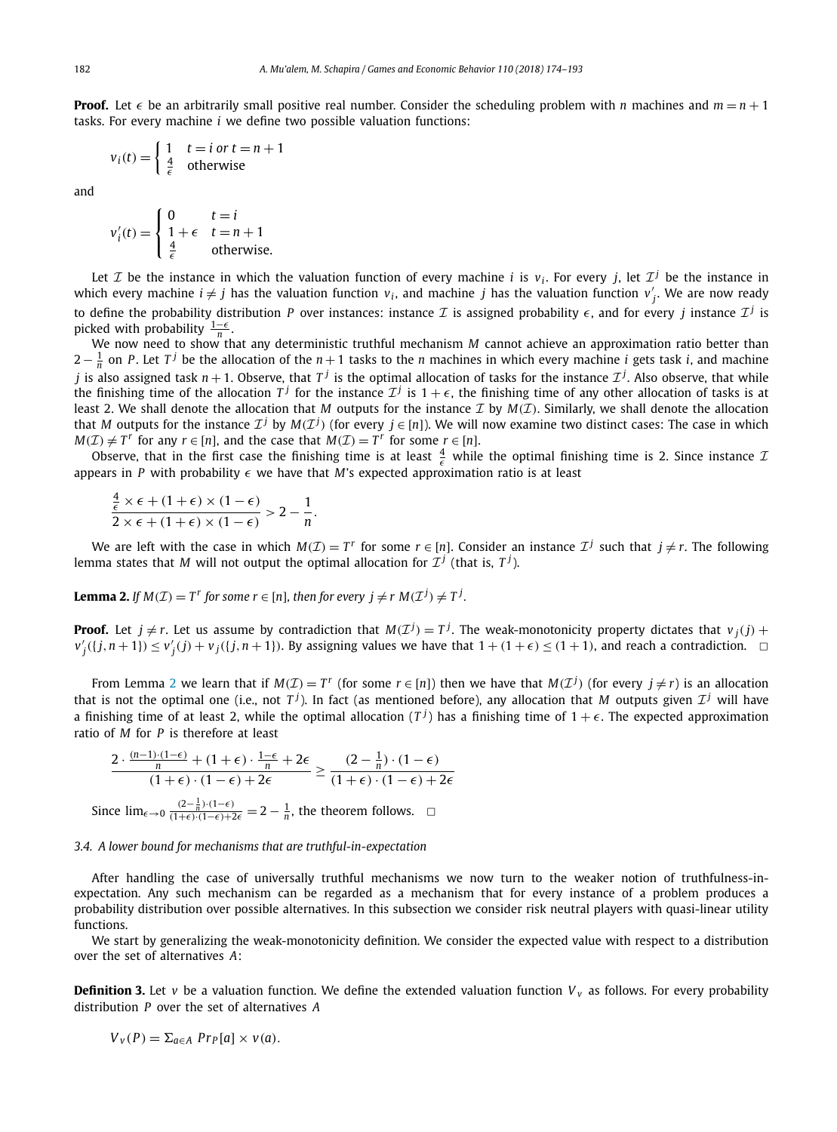<span id="page-8-0"></span>**Proof.** Let  $\epsilon$  be an arbitrarily small positive real number. Consider the scheduling problem with *n* machines and  $m = n + 1$ tasks. For every machine *i* we define two possible valuation functions:

$$
v_i(t) = \begin{cases} 1 & t = i \text{ or } t = n + 1\\ \frac{4}{\epsilon} & \text{otherwise} \end{cases}
$$

and

$$
v'_{i}(t) = \begin{cases} 0 & t = i \\ 1 + \epsilon & t = n + 1 \\ \frac{4}{\epsilon} & \text{otherwise.} \end{cases}
$$

Let  $\mathcal I$  be the instance in which the valuation function of every machine *i* is  $v_i$ . For every *j*, let  $\mathcal I^j$  be the instance in which every machine  $i \neq j$  has the valuation function  $v_i$ , and machine *j* has the valuation function  $v'_j$ . We are now ready to define the probability distribution *P* over instances: instance *I* is assigned probability  $\epsilon$ , and for every *j* instance  $\mathcal{I}^j$  is picked with probability  $\frac{1-\epsilon}{n}$ .

We now need to show that any deterministic truthful mechanism *M* cannot achieve an approximation ratio better than 2− <sup>1</sup> *<sup>n</sup>* on *<sup>P</sup>* . Let *<sup>T</sup> <sup>j</sup>* be the allocation of the *<sup>n</sup>* + 1 tasks to the *<sup>n</sup>* machines in which every machine *<sup>i</sup>* gets task *<sup>i</sup>*, and machine *j* is also assigned task *n* + 1. Observe, that  $T^j$  is the optimal allocation of tasks for the instance  $T^j$ . Also observe, that while the finishing time of the allocation  $T^j$  for the instance  $\mathcal{I}^j$  is  $1+\epsilon$ , the finishing time of any other allocation of tasks is at least 2. We shall denote the allocation that *M* outputs for the instance  $\mathcal I$  by  $M(\mathcal I)$ . Similarly, we shall denote the allocation that *M* outputs for the instance  $\mathcal{I}^j$  by  $M(\mathcal{I}^j)$  (for every  $j \in [n]$ ). We will now examine two distinct cases: The case in which *M*( $I$ ) ≠  $T^r$  for any  $r \in [n]$ , and the case that  $M(I) = T^r$  for some  $r \in [n]$ .

Observe, that in the first case the finishing time is at least  $\frac{4}{6}$  while the optimal finishing time is 2. Since instance  $\mathcal I$ appears in *P* with probability  $\epsilon$  we have that *M*'s expected approximation ratio is at least

$$
\frac{\frac{4}{\epsilon} \times \epsilon + (1+\epsilon) \times (1-\epsilon)}{2 \times \epsilon + (1+\epsilon) \times (1-\epsilon)} > 2 - \frac{1}{n}.
$$

We are left with the case in which  $M(\mathcal{I}) = T^r$  for some  $r \in [n]$ . Consider an instance  $\mathcal{I}^j$  such that  $j \neq r$ . The following lemma states that *M* will not output the optimal allocation for  $\mathcal{I}^j$  (that is,  $T^j$ ).

**Lemma 2.** If  $M(\mathcal{I}) = T^r$  for some  $r \in [n]$ , then for every  $j \neq r M(\mathcal{I}^j) \neq T^j$ .

**Proof.** Let  $j \neq r$ . Let us assume by contradiction that  $M(\mathcal{I}^j) = T^j$ . The weak-monotonicity property dictates that  $v_j(j)$  +  $v'_j(\{j,n+1\}) \le v'_j(j) + v_j(\{j,n+1\})$ . By assigning values we have that  $1 + (1 + \epsilon) \le (1 + 1)$ , and reach a contradiction.

From Lemma 2 we learn that if  $M(\mathcal{I}) = T^r$  (for some  $r \in [n]$ ) then we have that  $M(\mathcal{I}^j)$  (for every  $j \neq r$ ) is an allocation that is not the optimal one (i.e., not  $T^j$ ). In fact (as mentioned before), any allocation that *M* outputs given  $\mathcal{I}^j$  will have a finishing time of at least 2, while the optimal allocation  $(T^j)$  has a finishing time of  $1+\epsilon$ . The expected approximation ratio of *M* for *P* is therefore at least

$$
\frac{2 \cdot \frac{(n-1) \cdot (1-\epsilon)}{n} + (1+\epsilon) \cdot \frac{1-\epsilon}{n} + 2\epsilon}{(1+\epsilon) \cdot (1-\epsilon) + 2\epsilon} \ge \frac{(2-\frac{1}{n}) \cdot (1-\epsilon)}{(1+\epsilon) \cdot (1-\epsilon) + 2\epsilon}
$$

Since  $\lim_{\epsilon \to 0} \frac{(2-\frac{1}{n}) \cdot (1-\epsilon)}{(1+\epsilon) \cdot (1-\epsilon)+2\epsilon}$  = 2 −  $\frac{1}{n}$ , the theorem follows.  $\Box$ 

#### *3.4. A lower bound for mechanisms that are truthful-in-expectation*

After handling the case of universally truthful mechanisms we now turn to the weaker notion of truthfulness-inexpectation. Any such mechanism can be regarded as a mechanism that for every instance of a problem produces a probability distribution over possible alternatives. In this subsection we consider risk neutral players with quasi-linear utility functions.

We start by generalizing the weak-monotonicity definition. We consider the expected value with respect to a distribution over the set of alternatives *A*:

**Definition 3.** Let *v* be a valuation function. We define the extended valuation function  $V<sub>v</sub>$  as follows. For every probability distribution *P* over the set of alternatives *A*

$$
V_v(P) = \sum_{a \in A} Pr_P[a] \times v(a).
$$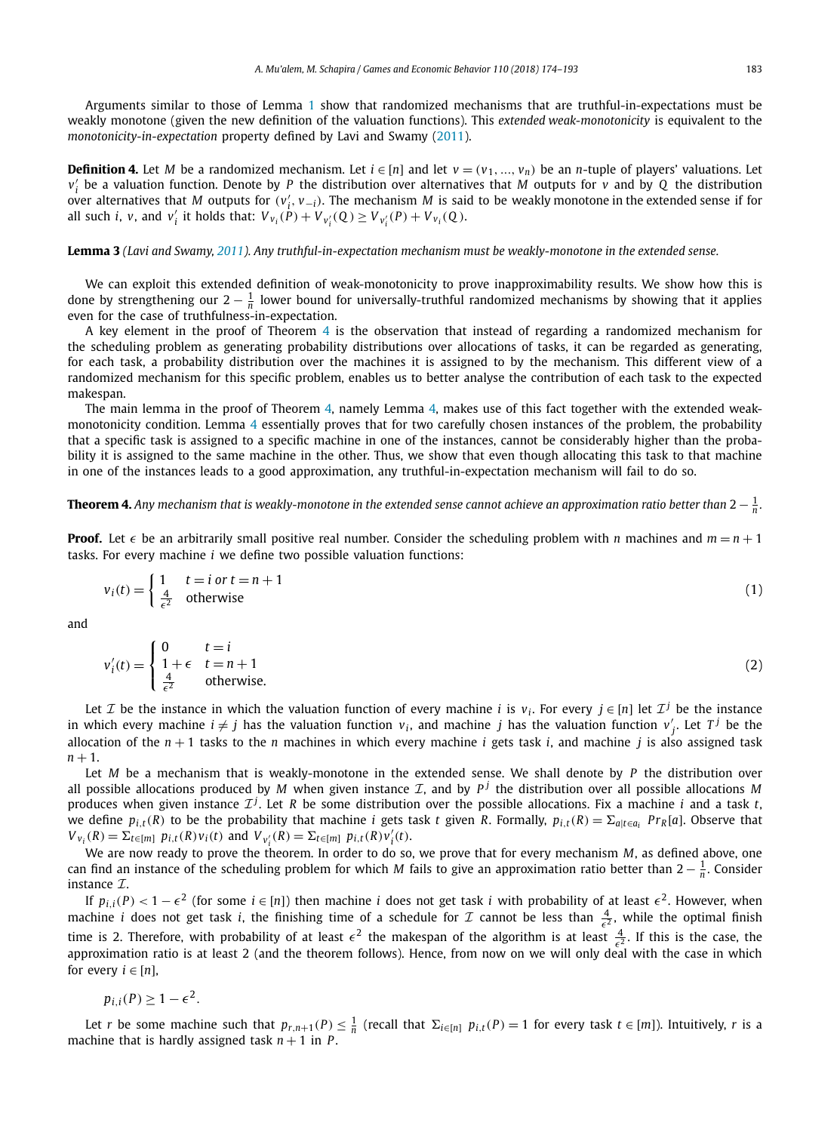<span id="page-9-0"></span>Arguments similar to those of Lemma [1](#page-6-0) show that randomized mechanisms that are truthful-in-expectations must be weakly monotone (given the new definition of the valuation functions). This *extended weak-monotonicity* is equivalent to the *monotonicity-in-expectation* property defined by Lavi and Swamy [\(2011\)](#page-19-0).

**Definition 4.** Let *M* be a randomized mechanism. Let  $i \in [n]$  and let  $v = (v_1, ..., v_n)$  be an *n*-tuple of players' valuations. Let *v <sup>i</sup>* be a valuation function. Denote by *P* the distribution over alternatives that *M* outputs for *v* and by *Q* the distribution over alternatives that *M* outputs for  $(v'_i, v_{-i})$ . The mechanism *M* is said to be weakly monotone in the extended sense if for all such *i*, *v*, and *v*<sub>i</sub><sup>'</sup> it holds that:  $V_{v_i}(\dot{P}) + V_{v_i'}(Q) \ge V_{v_i'}(P) + V_{v_i}(Q)$ .

#### **Lemma 3** (Lavi and Swamy, [2011\)](#page-19-0). Any truthful-in-expectation mechanism must be weakly-monotone in the extended sense.

We can exploit this extended definition of weak-monotonicity to prove inapproximability results. We show how this is done by strengthening our  $2-\frac{1}{n}$  lower bound for universally-truthful randomized mechanisms by showing that it applies even for the case of truthfulness-in-expectation.

A key element in the proof of Theorem 4 is the observation that instead of regarding a randomized mechanism for the scheduling problem as generating probability distributions over allocations of tasks, it can be regarded as generating, for each task, a probability distribution over the machines it is assigned to by the mechanism. This different view of a randomized mechanism for this specific problem, enables us to better analyse the contribution of each task to the expected makespan.

The main lemma in the proof of Theorem 4, namely Lemma [4,](#page-10-0) makes use of this fact together with the extended weakmonotonicity condition. Lemma [4](#page-10-0) essentially proves that for two carefully chosen instances of the problem, the probability that a specific task is assigned to a specific machine in one of the instances, cannot be considerably higher than the probability it is assigned to the same machine in the other. Thus, we show that even though allocating this task to that machine in one of the instances leads to a good approximation, any truthful-in-expectation mechanism will fail to do so.

## **Theorem 4.** Any mechanism that is weakly-monotone in the extended sense cannot achieve an approximation ratio better than 2  $\frac{1}{n}.$

**Proof.** Let  $\epsilon$  be an arbitrarily small positive real number. Consider the scheduling problem with *n* machines and  $m = n + 1$ tasks. For every machine *i* we define two possible valuation functions:

$$
v_i(t) = \begin{cases} 1 & t = i \text{ or } t = n + 1 \\ \frac{4}{\epsilon^2} & \text{otherwise} \end{cases} \tag{1}
$$

and

$$
v_i'(t) = \begin{cases} 0 & t = i \\ 1 + \epsilon & t = n + 1 \\ \frac{4}{\epsilon^2} & \text{otherwise.} \end{cases}
$$
 (2)

Let *T* be the instance in which the valuation function of every machine *i* is  $v_i$ . For every  $j \in [n]$  let  $\mathcal{I}^j$  be the instance in which every machine  $i \neq j$  has the valuation function  $v_i$ , and machine *j* has the valuation function  $v'_j$ . Let  $T^j$  be the allocation of the  $n + 1$  tasks to the *n* machines in which every machine *i* gets task *i*, and machine *j* is also assigned task  $n + 1$ .

Let *M* be a mechanism that is weakly-monotone in the extended sense. We shall denote by *P* the distribution over all possible allocations produced by *M* when given instance  $I$ , and by  $P<sup>j</sup>$  the distribution over all possible allocations *M* produces when given instance  $\mathcal{I}^j$ . Let *R* be some distribution over the possible allocations. Fix a machine *i* and a task *t*, we define  $p_{i,t}(R)$  to be the probability that machine i gets task t given R. Formally,  $p_{i,t}(R) = \sum_{a|t \in a_i} Pr_R[a]$ . Observe that  $V_{v_i}(R) = \sum_{t \in [m]} p_{i,t}(R)v_i(t)$  and  $V_{v'_i}(R) = \sum_{t \in [m]} p_{i,t}(R)v'_i(t)$ .

*i* We are now ready to prove the theorem. In order to do so, we prove that for every mechanism *M*, as defined above, one can find an instance of the scheduling problem for which *M* fails to give an approximation ratio better than 2 − <sup>1</sup> *<sup>n</sup>* . Consider instance  $\mathcal{I}$ .

If  $p_{i,i}(P) < 1 - \epsilon^2$  (for some  $i \in [n]$ ) then machine *i* does not get task *i* with probability of at least  $\epsilon^2$ . However, when machine *i* does not get task *i*, the finishing time of a schedule for  $\mathcal I$  cannot be less than  $\frac{4}{\epsilon^2}$ , while the optimal finish time is 2. Therefore, with probability of at least  $\epsilon^2$  the makespan of the algorithm is at least  $\frac{4}{\epsilon^2}$ . If this is the case, the approximation ratio is at least 2 (and the theorem follows). Hence, from now on we will only deal with the case in which for every  $i \in [n]$ ,

$$
p_{i,i}(P) \geq 1 - \epsilon^2.
$$

Let r be some machine such that  $p_{r,n+1}(P)\leq\frac{1}{n}$  (recall that  $\Sigma_{i\in[n]}$   $p_{i,t}(P)=1$  for every task  $t\in[m]$ ). Intuitively, r is a machine that is hardly assigned task  $n + 1$  in *P*.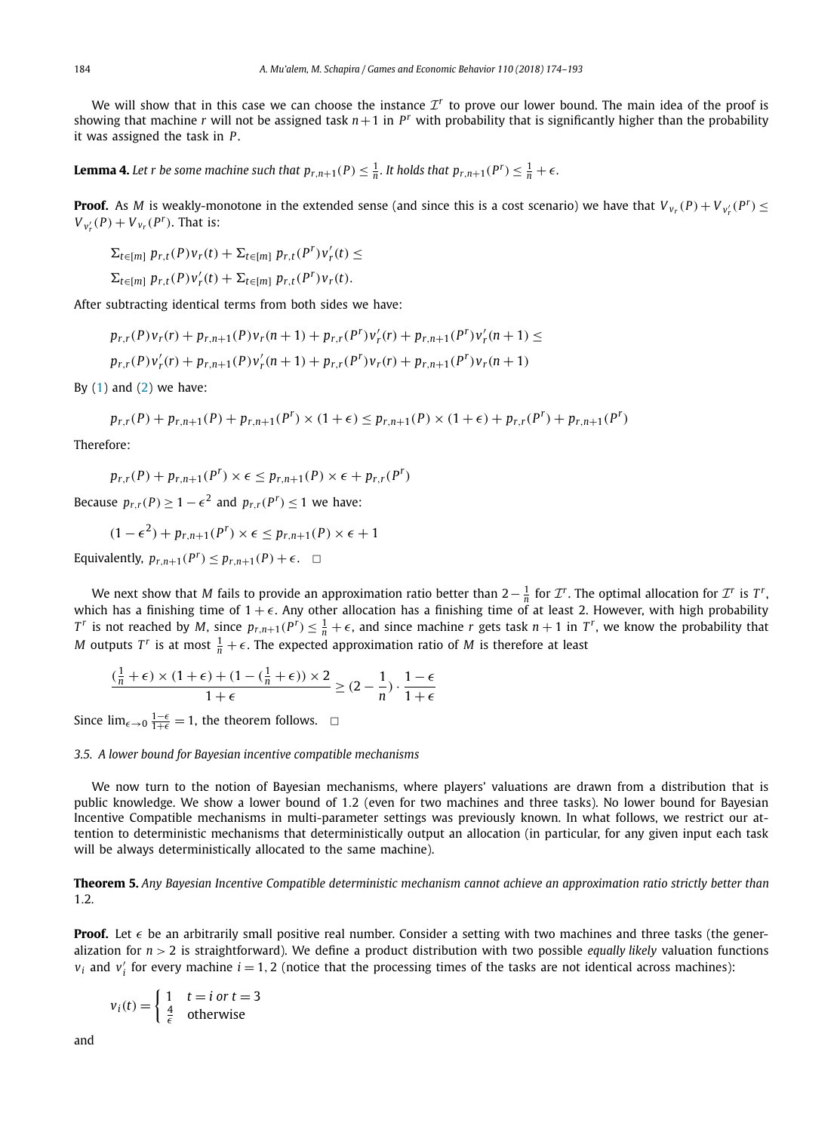<span id="page-10-0"></span>We will show that in this case we can choose the instance  $\mathcal{I}^r$  to prove our lower bound. The main idea of the proof is showing that machine *r* will not be assigned task  $n+1$  in  $P^r$  with probability that is significantly higher than the probability it was assigned the task in *P* .

**Lemma 4.** Let r be some machine such that  $p_{r,n+1}(P) \leq \frac{1}{n}$ . It holds that  $p_{r,n+1}(P^r) \leq \frac{1}{n} + \epsilon$ .

**Proof.** As *M* is weakly-monotone in the extended sense (and since this is a cost scenario) we have that  $V_{v_r}(P) + V_{v'_r}(P^r) \le$  $V_{v'_r}(P) + V_{v_r}(P^r)$ . That is:

$$
\Sigma_{t\in[m]}\:p_{r,t}(P)v_r(t)+\Sigma_{t\in[m]}\:p_{r,t}(P^r)v'_r(t)\leq
$$

$$
\Sigma_{t\in[m]}\;p_{r,t}(P)v'_r(t)+\Sigma_{t\in[m]}\;p_{r,t}(P^r)v_r(t).
$$

After subtracting identical terms from both sides we have:

$$
p_{r,r}(P)v_r(r) + p_{r,n+1}(P)v_r(n+1) + p_{r,r}(P^r)v'_r(r) + p_{r,n+1}(P^r)v'_r(n+1) \le
$$

 $p_{r,r}(P)v'_r(r) + p_{r,n+1}(P)v'_r(n+1) + p_{r,r}(P^r)v_r(r) + p_{r,n+1}(P^r)v_r(n+1)$ 

By  $(1)$  and  $(2)$  we have:

$$
p_{r,r}(P) + p_{r,n+1}(P) + p_{r,n+1}(P^r) \times (1+\epsilon) \leq p_{r,n+1}(P) \times (1+\epsilon) + p_{r,r}(P^r) + p_{r,n+1}(P^r)
$$

Therefore:

$$
p_{r,r}(P) + p_{r,n+1}(P^r) \times \epsilon \leq p_{r,n+1}(P) \times \epsilon + p_{r,r}(P^r)
$$

Because  $p_{rr}(P) > 1 - \epsilon^2$  and  $p_{rr}(P^r) < 1$  we have:

$$
(1 - \epsilon^2) + p_{r,n+1}(P^r) \times \epsilon \leq p_{r,n+1}(P) \times \epsilon + 1
$$

Equivalently,  $p_{r,n+1}(P^r) \leq p_{r,n+1}(P) + \epsilon$ .  $\Box$ 

We next show that *M* fails to provide an approximation ratio better than  $2-\frac{1}{n}$  for  $\mathcal{I}^r$ . The optimal allocation for  $\mathcal{I}^r$  is  $T^r$ , which has a finishing time of  $1 + \epsilon$ . Any other allocation has a finishing time of at least 2. However, with high probability  $T^r$  is not reached by M, since  $p_{r,n+1}(P^r) \leq \frac{1}{n} + \epsilon$ , and since machine r gets task  $n+1$  in  $T^r$ , we know the probability that *M* outputs  $T^r$  is at most  $\frac{1}{n} + \epsilon$ . The expected approximation ratio of *M* is therefore at least

$$
\frac{\left(\frac{1}{n} + \epsilon\right) \times \left(1 + \epsilon\right) + \left(1 - \left(\frac{1}{n} + \epsilon\right)\right) \times 2}{1 + \epsilon} \geq (2 - \frac{1}{n}) \cdot \frac{1 - \epsilon}{1 + \epsilon}
$$

Since  $\lim_{\epsilon \to 0} \frac{1-\epsilon}{1+\epsilon} = 1$ , the theorem follows.  $\Box$ 

#### *3.5. A lower bound for Bayesian incentive compatible mechanisms*

We now turn to the notion of Bayesian mechanisms, where players' valuations are drawn from a distribution that is public knowledge. We show a lower bound of 1*.*2 (even for two machines and three tasks). No lower bound for Bayesian Incentive Compatible mechanisms in multi-parameter settings was previously known. In what follows, we restrict our attention to deterministic mechanisms that deterministically output an allocation (in particular, for any given input each task will be always deterministically allocated to the same machine).

**Theorem 5.** Any Bayesian Incentive Compatible deterministic mechanism cannot achieve an approximation ratio strictly better than 1*.*2*.*

**Proof.** Let  $\epsilon$  be an arbitrarily small positive real number. Consider a setting with two machines and three tasks (the generalization for *n >* 2 is straightforward). We define a product distribution with two possible *equally likely* valuation functions  $v_i$  and  $v'_i$  for every machine  $i = 1, 2$  (notice that the processing times of the tasks are not identical across machines):

$$
v_i(t) = \begin{cases} 1 & t = i \text{ or } t = 3\\ \frac{4}{\epsilon} & \text{otherwise} \end{cases}
$$

and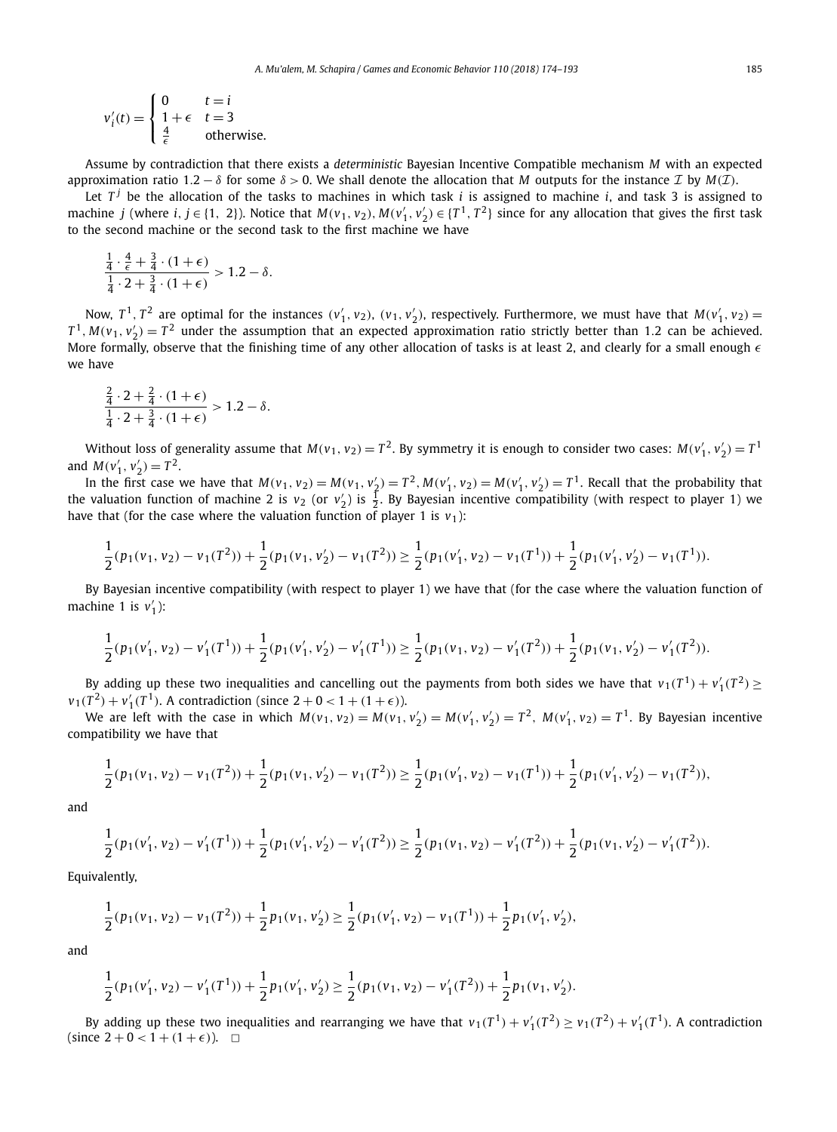$$
v'_{i}(t) = \begin{cases} 0 & t = i \\ 1 + \epsilon & t = 3 \\ \frac{4}{\epsilon} & \text{otherwise.} \end{cases}
$$

Assume by contradiction that there exists a *deterministic* Bayesian Incentive Compatible mechanism *M* with an expected approximation ratio 1.2 –  $\delta$  for some  $\delta > 0$ . We shall denote the allocation that *M* outputs for the instance *I* by *M*(*I*).

Let  $T<sup>j</sup>$  be the allocation of the tasks to machines in which task *i* is assigned to machine *i*, and task 3 is assigned to machine j (where i,  $j \in \{1, 2\}$ ). Notice that  $M(v_1, v_2), M(v'_1, v'_2) \in \{T^1, T^2\}$  since for any allocation that gives the first task to the second machine or the second task to the first machine we have

$$
\frac{\frac{1}{4} \cdot \frac{4}{\epsilon} + \frac{3}{4} \cdot (1 + \epsilon)}{\frac{1}{4} \cdot 2 + \frac{3}{4} \cdot (1 + \epsilon)} > 1.2 - \delta.
$$

Now,  $T^1$ ,  $T^2$  are optimal for the instances  $(v'_1, v_2)$ ,  $(v_1, v'_2)$ , respectively. Furthermore, we must have that  $M(v'_1, v_2)$  $T^1$ ,  $M(v_1, v_2') = T^2$  under the assumption that an expected approximation ratio strictly better than 1.2 can be achieved. More formally, observe that the finishing time of any other allocation of tasks is at least 2, and clearly for a small enough  $\epsilon$ we have

$$
\frac{\frac{2}{4} \cdot 2 + \frac{2}{4} \cdot (1 + \epsilon)}{\frac{1}{4} \cdot 2 + \frac{3}{4} \cdot (1 + \epsilon)} > 1.2 - \delta.
$$

Without loss of generality assume that  $M(v_1, v_2) = T^2$ . By symmetry it is enough to consider two cases:  $M(v'_1, v'_2) = T^1$ and  $M(v'_1, v'_2) = T^2$ .

In the first case we have that  $M(v_1, v_2) = M(v_1, v_2') = T^2$ ,  $M(v_1', v_2) = M(v_1', v_2') = T^1$ . Recall that the probability that the valuation function of machine 2 is  $v_2$  (or  $v_2'$ ) is  $\frac{1}{2}$ . By Bayesian incentive compatibility (with respect to player 1) we have that (for the case where the valuation function of player 1 is  $v_1$ ):

$$
\frac{1}{2}(p_1(v_1,v_2) - v_1(T^2)) + \frac{1}{2}(p_1(v_1,v_2') - v_1(T^2)) \geq \frac{1}{2}(p_1(v_1',v_2) - v_1(T^1)) + \frac{1}{2}(p_1(v_1',v_2') - v_1(T^1)).
$$

By Bayesian incentive compatibility (with respect to player 1) we have that (for the case where the valuation function of machine 1 is  $v'_1$ ):

$$
\frac{1}{2}(p_1(v_1',v_2)-v_1'(T^1))+\frac{1}{2}(p_1(v_1',v_2')-v_1'(T^1))\geq \frac{1}{2}(p_1(v_1,v_2)-v_1'(T^2))+\frac{1}{2}(p_1(v_1,v_2')-v_1'(T^2)).
$$

By adding up these two inequalities and cancelling out the payments from both sides we have that  $v_1(T^1) + v_1'(T^2) \ge$  $v_1(T^2) + v_1'(T^1)$ . A contradiction (since  $2 + 0 < 1 + (1 + \epsilon)$ ).

We are left with the case in which  $M(v_1, v_2) = M(v_1, v_2') = M(v_1', v_2') = T^2$ ,  $M(v_1', v_2) = T^1$ . By Bayesian incentive compatibility we have that

$$
\frac{1}{2}(p_1(v_1, v_2) - v_1(T^2)) + \frac{1}{2}(p_1(v_1, v_2') - v_1(T^2)) \ge \frac{1}{2}(p_1(v_1', v_2) - v_1(T^1)) + \frac{1}{2}(p_1(v_1', v_2') - v_1(T^2)),
$$

and

$$
\frac{1}{2}(p_1(v_1', v_2) - v_1'(T^1)) + \frac{1}{2}(p_1(v_1', v_2') - v_1'(T^2)) \ge \frac{1}{2}(p_1(v_1, v_2) - v_1'(T^2)) + \frac{1}{2}(p_1(v_1, v_2') - v_1'(T^2)).
$$

Equivalently,

$$
\frac{1}{2}(p_1(v_1, v_2) - v_1(T^2)) + \frac{1}{2}p_1(v_1, v_2') \ge \frac{1}{2}(p_1(v_1', v_2) - v_1(T^1)) + \frac{1}{2}p_1(v_1', v_2'),
$$

and

$$
\frac{1}{2}(p_1(v'_1, v_2) - v'_1(T^1)) + \frac{1}{2}p_1(v'_1, v'_2) \ge \frac{1}{2}(p_1(v_1, v_2) - v'_1(T^2)) + \frac{1}{2}p_1(v_1, v'_2).
$$

By adding up these two inequalities and rearranging we have that  $v_1(T^1) + v_1'(T^2) \ge v_1(T^2) + v_1'(T^1)$ . A contradiction (since  $2 + 0 < 1 + (1 + \epsilon)$ ).  $\Box$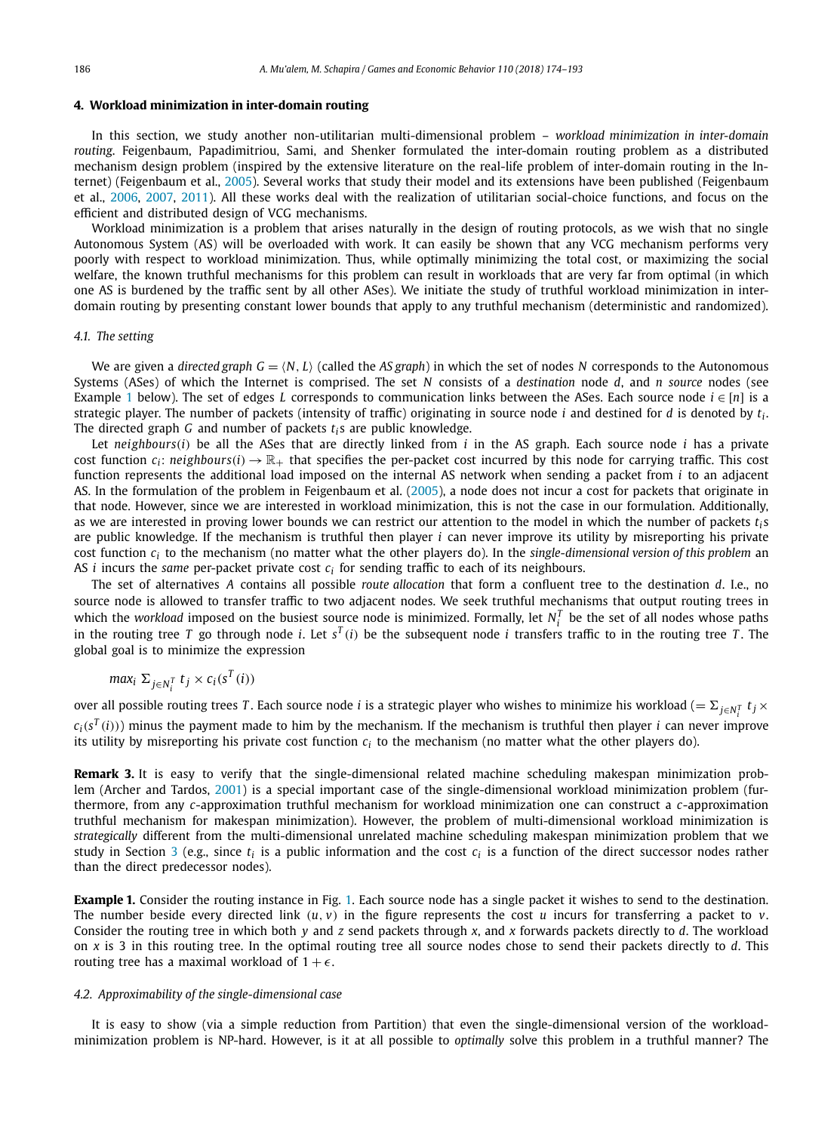#### <span id="page-12-0"></span>**4. Workload minimization in inter-domain routing**

In this section, we study another non-utilitarian multi-dimensional problem – *workload minimization in inter-domain routing*. Feigenbaum, Papadimitriou, Sami, and Shenker formulated the inter-domain routing problem as a distributed mechanism design problem (inspired by the extensive literature on the real-life problem of inter-domain routing in the Internet) (Feigenbaum et al., [2005\)](#page-18-0). Several works that study their model and its extensions have been published (Feigenbaum et al., [2006,](#page-18-0) [2007,](#page-18-0) [2011\)](#page-18-0). All these works deal with the realization of utilitarian social-choice functions, and focus on the efficient and distributed design of VCG mechanisms.

Workload minimization is a problem that arises naturally in the design of routing protocols, as we wish that no single Autonomous System (AS) will be overloaded with work. It can easily be shown that any VCG mechanism performs very poorly with respect to workload minimization. Thus, while optimally minimizing the total cost, or maximizing the social welfare, the known truthful mechanisms for this problem can result in workloads that are very far from optimal (in which one AS is burdened by the traffic sent by all other ASes). We initiate the study of truthful workload minimization in interdomain routing by presenting constant lower bounds that apply to any truthful mechanism (deterministic and randomized).

#### *4.1. The setting*

We are given a *directed* graph  $G = \langle N, L \rangle$  (called the AS graph) in which the set of nodes N corresponds to the Autonomous Systems (ASes) of which the Internet is comprised. The set *N* consists of a *destination* node *d*, and *n source* nodes (see Example 1 below). The set of edges *L* corresponds to communication links between the ASes. Each source node  $i \in [n]$  is a strategic player. The number of packets (intensity of traffic) originating in source node *i* and destined for *d* is denoted by *ti* . The directed graph *G* and number of packets *t*<sub>i</sub>s are public knowledge.

Let *neighbours(i)* be all the ASes that are directly linked from *i* in the AS graph. Each source node *i* has a private cost function  $c_i$ : *neighbours* $(i) \rightarrow \mathbb{R}_+$  that specifies the per-packet cost incurred by this node for carrying traffic. This cost function represents the additional load imposed on the internal AS network when sending a packet from *i* to an adjacent AS. In the formulation of the problem in Feigenbaum et al. [\(2005\)](#page-18-0), a node does not incur a cost for packets that originate in that node. However, since we are interested in workload minimization, this is not the case in our formulation. Additionally, as we are interested in proving lower bounds we can restrict our attention to the model in which the number of packets  $t_i s$ are public knowledge. If the mechanism is truthful then player *i* can never improve its utility by misreporting his private cost function *ci* to the mechanism (no matter what the other players do). In the *single-dimensional version of this problem* an AS *i* incurs the *same* per-packet private cost *ci* for sending traffic to each of its neighbours.

The set of alternatives *A* contains all possible *route allocation* that form a confluent tree to the destination *d*. I.e., no source node is allowed to transfer traffic to two adjacent nodes. We seek truthful mechanisms that output routing trees in which the *workload* imposed on the busiest source node is minimized. Formally, let  $N_i^T$  be the set of all nodes whose paths in the routing tree *T* go through node *i*. Let  $s^T(i)$  be the subsequent node *i* transfers traffic to in the routing tree *T*. The global goal is to minimize the expression

$$
max_i \Sigma_{j \in N_i^T} t_j \times c_i(s^T(i))
$$

over all possible routing trees *T*. Each source node *i* is a strategic player who wishes to minimize his workload (=  $\Sigma_{j\in N^T_i}$   $t_j$  ×  $c_i(s^T(i))$  minus the payment made to him by the mechanism. If the mechanism is truthful then player *i* can never improve its utility by misreporting his private cost function  $c_i$  to the mechanism (no matter what the other players do).

**Remark 3.** It is easy to verify that the single-dimensional related machine scheduling makespan minimization problem (Archer and Tardos, [2001\)](#page-18-0) is a special important case of the single-dimensional workload minimization problem (furthermore, from any *c*-approximation truthful mechanism for workload minimization one can construct a *c*-approximation truthful mechanism for makespan minimization). However, the problem of multi-dimensional workload minimization is *strategically* different from the multi-dimensional unrelated machine scheduling makespan minimization problem that we study in Section [3](#page-4-0) (e.g., since  $t_i$  is a public information and the cost  $c_i$  is a function of the direct successor nodes rather than the direct predecessor nodes).

**Example 1.** Consider the routing instance in Fig. [1.](#page-13-0) Each source node has a single packet it wishes to send to the destination. The number beside every directed link  $(u, v)$  in the figure represents the cost *u* incurs for transferring a packet to *v*. Consider the routing tree in which both *y* and *z* send packets through *x*, and *x* forwards packets directly to *d*. The workload on *x* is 3 in this routing tree. In the optimal routing tree all source nodes chose to send their packets directly to *d*. This routing tree has a maximal workload of  $1 + \epsilon$ .

#### *4.2. Approximability of the single-dimensional case*

It is easy to show (via a simple reduction from Partition) that even the single-dimensional version of the workloadminimization problem is NP-hard. However, is it at all possible to *optimally* solve this problem in a truthful manner? The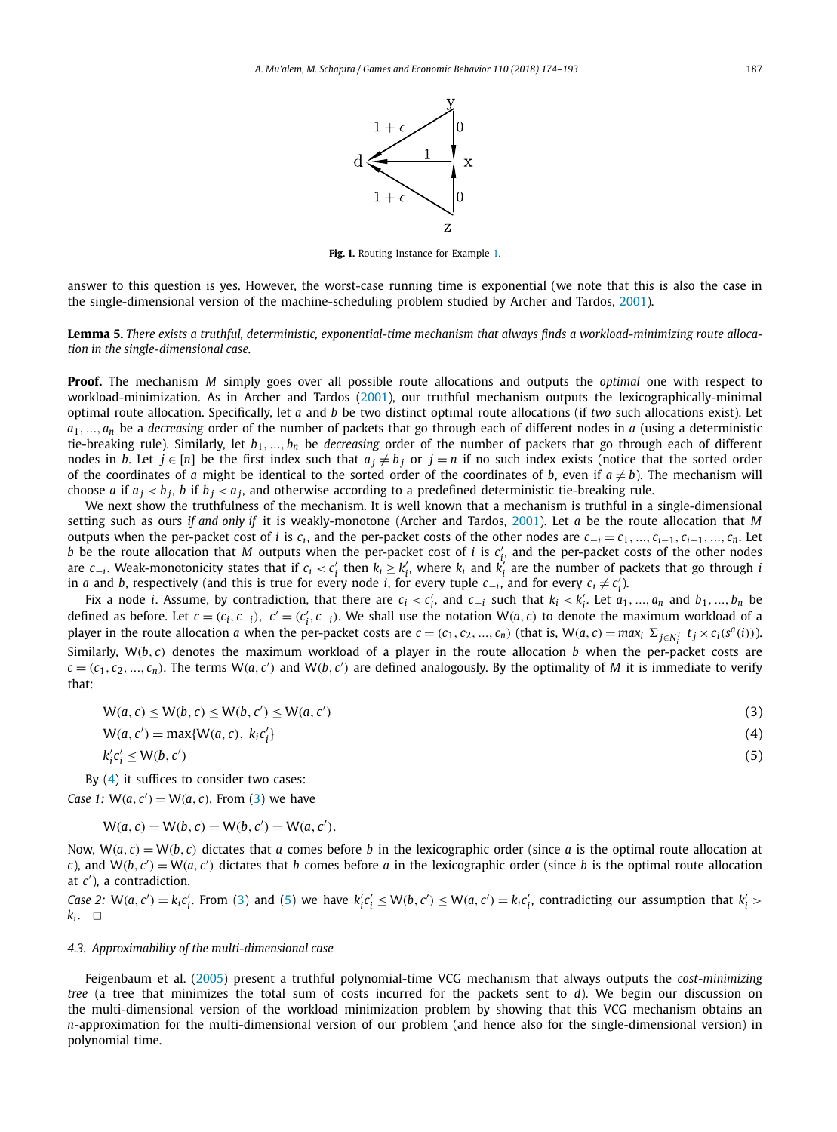

**Fig. 1.** Routing Instance for Example [1.](#page-12-0)

<span id="page-13-0"></span>answer to this question is yes. However, the worst-case running time is exponential (we note that this is also the case in the single-dimensional version of the machine-scheduling problem studied by Archer and Tardos, [2001\)](#page-18-0).

Lemma 5. There exists a truthful, deterministic, exponential-time mechanism that always finds a workload-minimizing route alloca*tion in the single-dimensional case.*

**Proof.** The mechanism *M* simply goes over all possible route allocations and outputs the *optimal* one with respect to workload-minimization. As in Archer and Tardos [\(2001\)](#page-18-0), our truthful mechanism outputs the lexicographically-minimal optimal route allocation. Specifically, let *a* and *b* be two distinct optimal route allocations (if *two* such allocations exist). Let  $a_1, \ldots, a_n$  be a *decreasing* order of the number of packets that go through each of different nodes in *a* (using a deterministic tie-breaking rule). Similarly, let *b*1*,..., bn* be *decreasing* order of the number of packets that go through each of different nodes in *b*. Let  $j \in [n]$  be the first index such that  $a_j \neq b_j$  or  $j = n$  if no such index exists (notice that the sorted order of the coordinates of *a* might be identical to the sorted order of the coordinates of *b*, even if  $a \neq b$ ). The mechanism will choose *a* if  $a_j < b_j$ , *b* if  $b_j < a_j$ , and otherwise according to a predefined deterministic tie-breaking rule.

We next show the truthfulness of the mechanism. It is well known that a mechanism is truthful in a single-dimensional setting such as ours *if and only if* it is weakly-monotone (Archer and Tardos, [2001\)](#page-18-0). Let *a* be the route allocation that *M* outputs when the per-packet cost of *i* is  $c_i$ , and the per-packet costs of the other nodes are  $c_{-i} = c_1, ..., c_{i-1}, c_{i+1}, ..., c_n$ . Let *b* be the route allocation that *M* outputs when the per-packet cost of *i* is  $c'_i$ , and the per-packet costs of the other nodes are  $c_{-i}$ . Weak-monotonicity states that if  $c_i < c'_i$  then  $k_i \geq k'_i$ , where  $k_i$  and  $k'_i$  are the number of packets that go through *i in a* and *b*, respectively (and this is true for every node *i*, for every tuple  $c_{−i}$ , and for every  $c_i \neq c'_i$ ).

Fix a node *i*. Assume, by contradiction, that there are  $c_i < c'_i$ , and  $c_{-i}$  such that  $k_i < k'_i$ . Let  $a_1, ..., a_n$  and  $b_1, ..., b_n$  be defined as before. Let  $c = (c_i, c_{-i}), c' = (c'_i, c_{-i}).$  We shall use the notation  $W(a, c)$  to denote the maximum workload of a player in the route allocation a when the per-packet costs are  $c = (c_1, c_2, ..., c_n)$  (that is,  $W(a, c) = max_i \sum_{j \in N_i^T} t_j \times c_i(s^a(i))$ ). *i* Similarly, W*(b, c)* denotes the maximum workload of a player in the route allocation *b* when the per-packet costs are  $c = (c_1, c_2, ..., c_n)$ . The terms  $W(a, c')$  and  $W(b, c')$  are defined analogously. By the optimality of M it is immediate to verify that:

$$
W(a,c) \le W(b,c) \le W(b,c') \le W(a,c')
$$
\n(3)

$$
W(a, c') = \max\{W(a, c), k_i c'_i\}
$$
\n<sup>(4)</sup>

$$
k_i' c_i' \le W(b, c') \tag{5}
$$

By (4) it suffices to consider two cases:

*Case* 1:  $W(a, c') = W(a, c)$ . From (3) we have

$$
W(a, c) = W(b, c) = W(b, c') = W(a, c').
$$

Now,  $W(a, c) = W(b, c)$  dictates that *a* comes before *b* in the lexicographic order (since *a* is the optimal route allocation at *c*), and  $W(b, c') = W(a, c')$  dictates that *b* comes before *a* in the lexicographic order (since *b* is the optimal route allocation at *c* ), a contradiction.

Case 2:  $W(a, c') = k_i c'_i$ . From (3) and (5) we have  $k'_i c'_i \leq W(b, c') \leq W(a, c') = k_i c'_i$ , contradicting our assumption that  $k'_i$  $k_i$ .  $\Box$ 

#### *4.3. Approximability of the multi-dimensional case*

Feigenbaum et al. [\(2005\)](#page-18-0) present a truthful polynomial-time VCG mechanism that always outputs the *cost-minimizing tree* (a tree that minimizes the total sum of costs incurred for the packets sent to *d*). We begin our discussion on the multi-dimensional version of the workload minimization problem by showing that this VCG mechanism obtains an *n*-approximation for the multi-dimensional version of our problem (and hence also for the single-dimensional version) in polynomial time.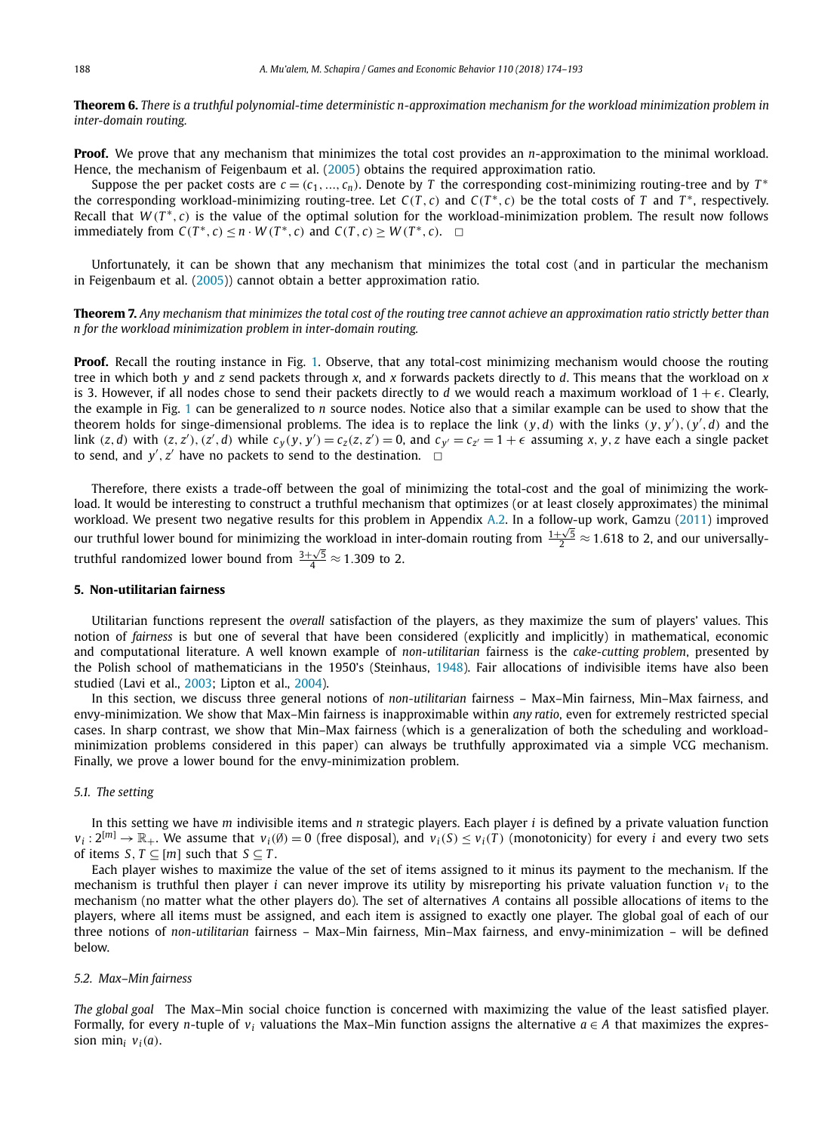<span id="page-14-0"></span>Theorem 6. There is a truthful polynomial-time deterministic n-approximation mechanism for the workload minimization problem in *inter-domain routing.*

**Proof.** We prove that any mechanism that minimizes the total cost provides an *n*-approximation to the minimal workload. Hence, the mechanism of Feigenbaum et al. [\(2005\)](#page-18-0) obtains the required approximation ratio.

Suppose the per packet costs are  $c = (c_1, ..., c_n)$ . Denote by *T* the corresponding cost-minimizing routing-tree and by  $T^*$ the corresponding workload-minimizing routing-tree. Let  $C(T, c)$  and  $C(T^*, c)$  be the total costs of *T* and  $T^*$ , respectively. Recall that  $W(T^*, c)$  is the value of the optimal solution for the workload-minimization problem. The result now follows immediately from  $C(T^*, c) \leq n \cdot W(T^*, c)$  and  $C(T, c) \geq W(T^*, c)$ .  $\Box$ 

Unfortunately, it can be shown that any mechanism that minimizes the total cost (and in particular the mechanism in Feigenbaum et al. [\(2005\)](#page-18-0)) cannot obtain a better approximation ratio.

Theorem 7. Any mechanism that minimizes the total cost of the routing tree cannot achieve an approximation ratio strictly better than *n for the workload minimization problem in inter-domain routing.*

**Proof.** Recall the routing instance in Fig. [1.](#page-13-0) Observe, that any total-cost minimizing mechanism would choose the routing tree in which both *y* and *z* send packets through *x*, and *x* forwards packets directly to *d*. This means that the workload on *x* is 3. However, if all nodes chose to send their packets directly to *d* we would reach a maximum workload of  $1 + \epsilon$ . Clearly, the example in Fig. [1](#page-13-0) can be generalized to *n* source nodes. Notice also that a similar example can be used to show that the theorem holds for singe-dimensional problems. The idea is to replace the link  $(y, d)$  with the links  $(y, y')$ ,  $(y', d)$  and the link  $(z, d)$  with  $(z, z')$ ,  $(z', d)$  while  $c_y(y, y') = c_z(z, z') = 0$ , and  $c_{y'} = c_{z'} = 1 + \epsilon$  assuming x, y, z have each a single packet to send, and  $y'$ ,  $z'$  have no packets to send to the destination.  $\Box$ 

Therefore, there exists a trade-off between the goal of minimizing the total-cost and the goal of minimizing the workload. It would be interesting to construct a truthful mechanism that optimizes (or at least closely approximates) the minimal workload. We present two negative results for this problem in Appendix [A.2.](#page-17-0) In a follow-up work, Gamzu [\(2011\)](#page-19-0) improved our truthful lower bound for minimizing the workload in inter-domain routing from  $\frac{1+\sqrt{5}}{2} \approx 1.618$  to 2, and our universallytruthful randomized lower bound from  $\frac{3+\sqrt{5}}{4} \approx 1.309$  to 2.

#### **5. Non-utilitarian fairness**

Utilitarian functions represent the *overall* satisfaction of the players, as they maximize the sum of players' values. This notion of *fairness* is but one of several that have been considered (explicitly and implicitly) in mathematical, economic and computational literature. A well known example of *non-utilitarian* fairness is the *cake-cutting problem*, presented by the Polish school of mathematicians in the 1950's (Steinhaus, [1948\)](#page-19-0). Fair allocations of indivisible items have also been studied (Lavi et al., [2003;](#page-19-0) Lipton et al., [2004\)](#page-19-0).

In this section, we discuss three general notions of *non-utilitarian* fairness – Max–Min fairness, Min–Max fairness, and envy-minimization. We show that Max–Min fairness is inapproximable within *any ratio*, even for extremely restricted special cases. In sharp contrast, we show that Min–Max fairness (which is a generalization of both the scheduling and workloadminimization problems considered in this paper) can always be truthfully approximated via a simple VCG mechanism. Finally, we prove a lower bound for the envy-minimization problem.

### *5.1. The setting*

In this setting we have *m* indivisible items and *n* strategic players. Each player *i* is defined by a private valuation function  $v_i : 2^{[m]} \to \mathbb{R}_+$ . We assume that  $v_i(\emptyset) = 0$  (free disposal), and  $v_i(S) \le v_i(T)$  (monotonicity) for every *i* and every two sets of items *S*,  $T \subseteq [m]$  such that  $S \subseteq T$ .

Each player wishes to maximize the value of the set of items assigned to it minus its payment to the mechanism. If the mechanism is truthful then player *i* can never improve its utility by misreporting his private valuation function *vi* to the mechanism (no matter what the other players do). The set of alternatives *A* contains all possible allocations of items to the players, where all items must be assigned, and each item is assigned to exactly one player. The global goal of each of our three notions of *non-utilitarian* fairness – Max–Min fairness, Min–Max fairness, and envy-minimization – will be defined below.

#### *5.2. Max–Min fairness*

*The global goal* The Max–Min social choice function is concerned with maximizing the value of the least satisfied player. Formally, for every *n*-tuple of  $v_i$  valuations the Max–Min function assigns the alternative  $a \in A$  that maximizes the expression min<sub>i</sub>  $v_i(a)$ .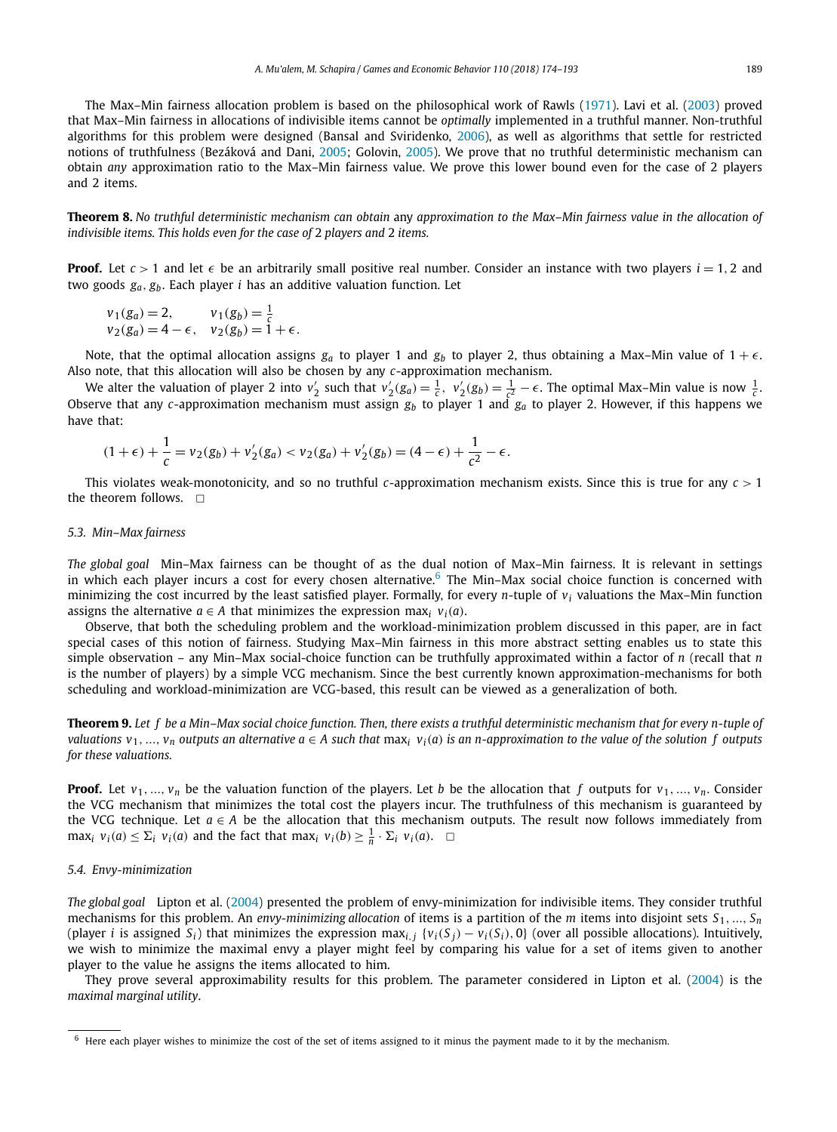The Max–Min fairness allocation problem is based on the philosophical work of Rawls [\(1971\)](#page-19-0). Lavi et al. [\(2003\)](#page-19-0) proved that Max–Min fairness in allocations of indivisible items cannot be *optimally* implemented in a truthful manner. Non-truthful algorithms for this problem were designed (Bansal and Sviridenko, [2006\)](#page-18-0), as well as algorithms that settle for restricted notions of truthfulness (Bezáková and Dani, [2005;](#page-18-0) Golovin, [2005\)](#page-19-0). We prove that no truthful deterministic mechanism can obtain *any* approximation ratio to the Max–Min fairness value. We prove this lower bound even for the case of 2 players and 2 items.

Theorem 8. No truthful deterministic mechanism can obtain any approximation to the Max-Min fairness value in the allocation of *indivisible items. This holds even for the case of* 2 *players and* 2 *items.*

**Proof.** Let  $c > 1$  and let  $\epsilon$  be an arbitrarily small positive real number. Consider an instance with two players  $i = 1, 2$  and two goods *ga, gb*. Each player *i* has an additive valuation function. Let

$$
v_1(g_a) = 2,
$$
  $v_1(g_b) = \frac{1}{c}$   
\n $v_2(g_a) = 4 - \epsilon,$   $v_2(g_b) = 1 + \epsilon.$ 

Note, that the optimal allocation assigns  $g_a$  to player 1 and  $g_b$  to player 2, thus obtaining a Max–Min value of  $1 + \epsilon$ . Also note, that this allocation will also be chosen by any *c*-approximation mechanism.

We alter the valuation of player 2 into  $v_2'$  such that  $v_2'(g_a) = \frac{1}{c}$ ,  $v_2'(g_b) = \frac{1}{c^2} - \epsilon$ . The optimal Max–Min value is now  $\frac{1}{c}$ . Observe that any *c*-approximation mechanism must assign *gb* to player 1 and *ga* to player 2. However, if this happens we have that:

$$
(1+\epsilon) + \frac{1}{c} = v_2(g_b) + v_2'(g_a) < v_2(g_a) + v_2'(g_b) = (4-\epsilon) + \frac{1}{c^2} - \epsilon.
$$

This violates weak-monotonicity, and so no truthful *c*-approximation mechanism exists. Since this is true for any *c >* 1 the theorem follows.  $\Box$ 

#### *5.3. Min–Max fairness*

*The global goal* Min–Max fairness can be thought of as the dual notion of Max–Min fairness. It is relevant in settings in which each player incurs a cost for every chosen alternative.<sup>6</sup> The Min–Max social choice function is concerned with minimizing the cost incurred by the least satisfied player. Formally, for every *n*-tuple of *vi* valuations the Max–Min function assigns the alternative  $a \in A$  that minimizes the expression max<sub>*i*</sub>  $v_i(a)$ .

Observe, that both the scheduling problem and the workload-minimization problem discussed in this paper, are in fact special cases of this notion of fairness. Studying Max–Min fairness in this more abstract setting enables us to state this simple observation – any Min–Max social-choice function can be truthfully approximated within a factor of *n* (recall that *n* is the number of players) by a simple VCG mechanism. Since the best currently known approximation-mechanisms for both scheduling and workload-minimization are VCG-based, this result can be viewed as a generalization of both.

**Theorem 9.** Let f be a Min-Max social choice function. Then, there exists a truthful deterministic mechanism that for every n-tuple of valuations  $v_1, ..., v_n$  outputs an alternative  $a \in A$  such that max<sub>i</sub>  $v_i(a)$  is an n-approximation to the value of the solution f outputs *for these valuations.*

**Proof.** Let  $v_1, ..., v_n$  be the valuation function of the players. Let *b* be the allocation that *f* outputs for  $v_1, ..., v_n$ . Consider the VCG mechanism that minimizes the total cost the players incur. The truthfulness of this mechanism is guaranteed by the VCG technique. Let  $a \in A$  be the allocation that this mechanism outputs. The result now follows immediately from max<sub>i</sub>  $v_i(a) \leq \sum_i v_i(a)$  and the fact that max<sub>i</sub>  $v_i(b) \geq \frac{1}{n} \cdot \sum_i v_i(a)$ .  $\Box$ 

#### *5.4. Envy-minimization*

*The global goal* Lipton et al. [\(2004\)](#page-19-0) presented the problem of envy-minimization for indivisible items. They consider truthful mechanisms for this problem. An *envy-minimizing allocation* of items is a partition of the *m* items into disjoint sets *S*1*,..., Sn* (player *i* is assigned  $S_i$ ) that minimizes the expression max<sub>i, i</sub> { $v_i(S_i) - v_i(S_i)$ , o} (over all possible allocations). Intuitively, we wish to minimize the maximal envy a player might feel by comparing his value for a set of items given to another player to the value he assigns the items allocated to him.

They prove several approximability results for this problem. The parameter considered in Lipton et al. [\(2004\)](#page-19-0) is the *maximal marginal utility*.

 $6$  Here each player wishes to minimize the cost of the set of items assigned to it minus the payment made to it by the mechanism.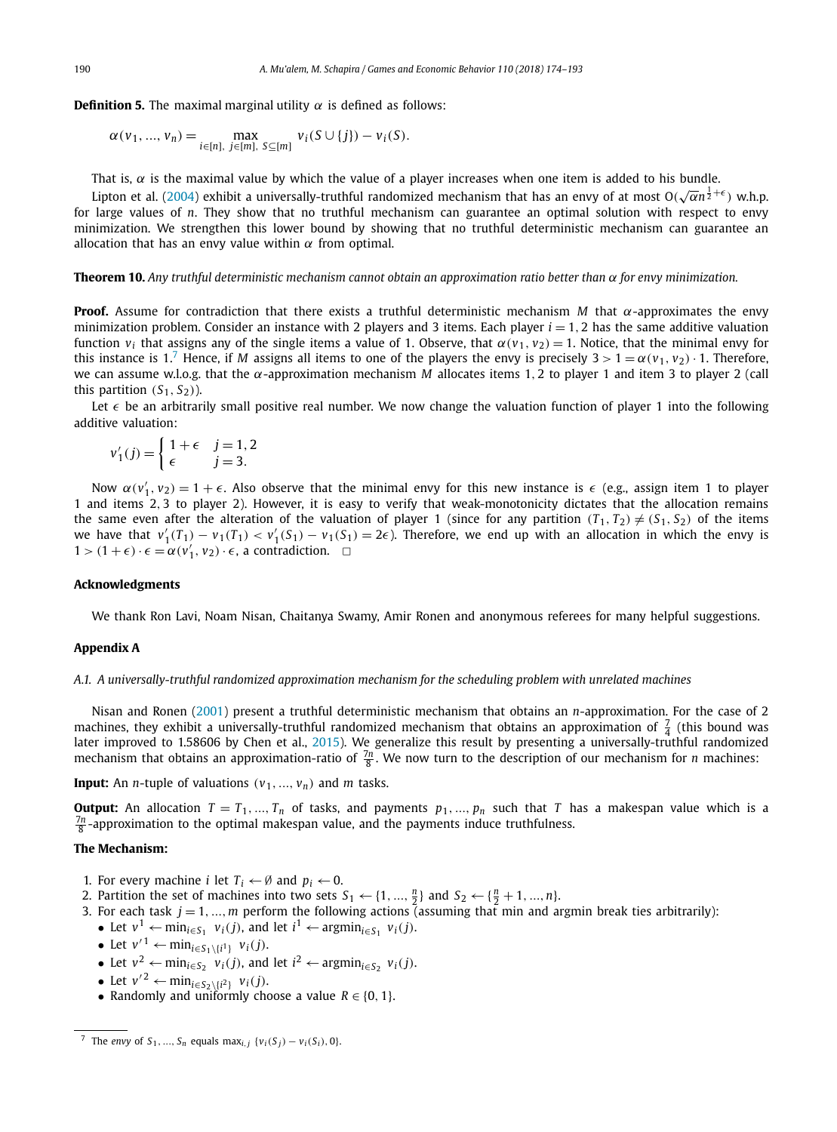<span id="page-16-0"></span>**Definition 5.** The maximal marginal utility  $\alpha$  is defined as follows:

$$
\alpha(v_1, ..., v_n) = \max_{i \in [n], j \in [m], S \subseteq [m]} v_i(S \cup \{j\}) - v_i(S).
$$

That is,  $\alpha$  is the maximal value by which the value of a player increases when one item is added to his bundle.

Lipton et al. [\(2004\)](#page-19-0) exhibit a universally-truthful randomized mechanism that has an envy of at most  $O(\sqrt{\alpha}n^{\frac{1}{2}+\epsilon})$  w.h.p. for large values of *n*. They show that no truthful mechanism can guarantee an optimal solution with respect to envy minimization. We strengthen this lower bound by showing that no truthful deterministic mechanism can guarantee an allocation that has an envy value within  $\alpha$  from optimal.

**Theorem 10.** Any truthful deterministic mechanism cannot obtain an approximation ratio better than  $\alpha$  for envy minimization.

**Proof.** Assume for contradiction that there exists a truthful deterministic mechanism *M* that  $\alpha$ -approximates the envy minimization problem. Consider an instance with 2 players and 3 items. Each player  $i = 1, 2$  has the same additive valuation function *v<sub>i</sub>* that assigns any of the single items a value of 1. Observe, that  $α(v_1, v_2) = 1$ . Notice, that the minimal envy for this instance is 1.<sup>7</sup> Hence, if *M* assigns all items to one of the players the envy is precisely  $3 > 1 = \alpha(v_1, v_2) \cdot 1$ . Therefore, we can assume w.l.o.g. that the *α*-approximation mechanism *M* allocates items 1*,* 2 to player 1 and item 3 to player 2 (call this partition  $(S_1, S_2)$ ).

Let  $\epsilon$  be an arbitrarily small positive real number. We now change the valuation function of player 1 into the following additive valuation:

$$
v_1'(j) = \begin{cases} 1 + \epsilon & j = 1, 2 \\ \epsilon & j = 3. \end{cases}
$$

Now  $\alpha(v'_1, v_2) = 1 + \epsilon$ . Also observe that the minimal envy for this new instance is  $\epsilon$  (e.g., assign item 1 to player 1 and items 2*,* 3 to player 2). However, it is easy to verify that weak-monotonicity dictates that the allocation remains the same even after the alteration of the valuation of player 1 (since for any partition  $(T_1, T_2) \neq (S_1, S_2)$  of the items we have that  $v'_1(T_1) - v_1(T_1) < v'_1(S_1) - v_1(S_1) = 2\epsilon$ . Therefore, we end up with an allocation in which the envy is  $1$  > (1 +  $\epsilon$ ) ⋅  $\epsilon$  =  $\alpha$ ( $v'_{1}$ ,  $v_{2}$ ) ⋅  $\epsilon$ , a contradiction.  $□$ 

#### **Acknowledgments**

We thank Ron Lavi, Noam Nisan, Chaitanya Swamy, Amir Ronen and anonymous referees for many helpful suggestions.

#### **Appendix A**

*A.1. A universally-truthful randomized approximation mechanism for the scheduling problem with unrelated machines*

Nisan and Ronen [\(2001\)](#page-19-0) present a truthful deterministic mechanism that obtains an *n*-approximation. For the case of 2 machines, they exhibit a universally-truthful randomized mechanism that obtains an approximation of  $\frac{7}{4}$  (this bound was later improved to 1.58606 by Chen et al., [2015\)](#page-18-0). We generalize this result by presenting a universally-truthful randomized mechanism that obtains an approximation-ratio of  $\frac{7n}{8}$ . We now turn to the description of our mechanism for *n* machines:

**Input:** An *n*-tuple of valuations  $(v_1, ..., v_n)$  and *m* tasks.

**Output:** An allocation  $T = T_1, ..., T_n$  of tasks, and payments  $p_1, ..., p_n$  such that *T* has a makespan value which is a  $\frac{7n}{6}$ -approximation to the optimal makespan value, and the payments induce truthfulness.

#### **The Mechanism:**

- 1. For every machine *i* let  $T_i \leftarrow \emptyset$  and  $p_i \leftarrow 0$ .
- 2. Partition the set of machines into two sets  $S_1 \leftarrow \{1, ..., \frac{n}{2}\}$  and  $S_2 \leftarrow \{\frac{n}{2} + 1, ..., n\}$ .
- 3. For each task  $j = 1, ..., m$  perform the following actions (assuming that min and argmin break ties arbitrarily):
- Let  $v^1 \leftarrow \min_{i \in S_1} v_i(j)$ , and let  $i^1 \leftarrow \text{argmin}_{i \in S_1} v_i(j)$ .
- Let  $v'^{1} \leftarrow \min_{i \in S_1 \setminus \{i^1\}} v_i(j)$ .
- Let  $v^2 \leftarrow \min_{i \in S_2} v_i(j)$ , and let  $i^2 \leftarrow \text{argmin}_{i \in S_2} v_i(j)$ .
- Let  $v'^2 \leftarrow \min_{i \in S_2 \setminus \{i^2\}} v_i(j)$ .
- Randomly and uniformly choose a value  $R \in \{0, 1\}$ .

<sup>7</sup> The *envy* of  $S_1, ..., S_n$  equals max<sub>*i*,*j*</sub> { $v_i(S_j) - v_i(S_i)$ , 0}.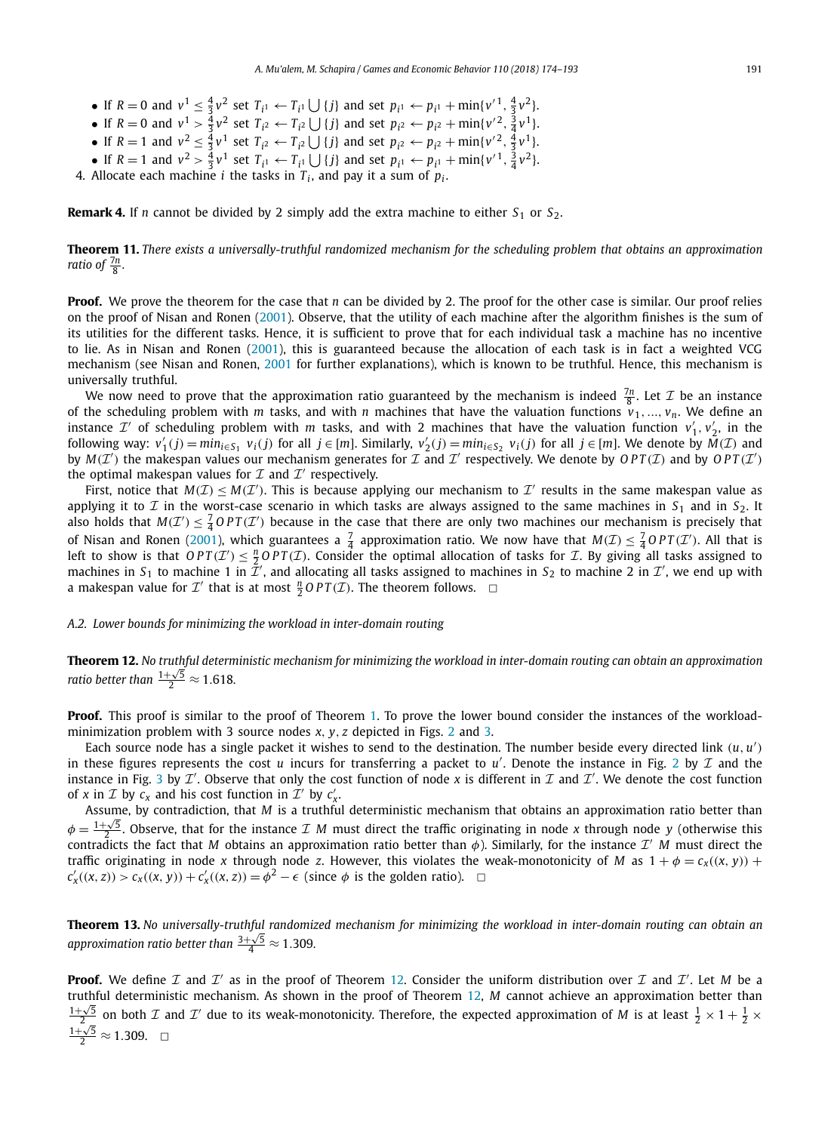- <span id="page-17-0"></span>• If  $R = 0$  and  $v^1 \le \frac{4}{3}v^2$  set  $T_{i^1} \leftarrow T_{i^1} \cup \{j\}$  and set  $p_{i^1} \leftarrow p_{i^1} + \min\{v'^1, \frac{4}{3}v^2\}.$
- If  $R = 0$  and  $v^1 > \frac{4}{3}v^2$  set  $T_{i^2} \leftarrow T_{i^2} \cup \{j\}$  and set  $p_{i^2} \leftarrow p_{i^2} + \min\{v'^2, \frac{3}{4}v^1\}.$
- If  $R = 1$  and  $v^2 \le \frac{4}{3}v^1$  set  $T_{i^2} \leftarrow T_{i^2} \cup \{j\}$  and set  $p_{i^2} \leftarrow p_{i^2} + \min\{v'^2, \frac{4}{3}v^1\}.$
- If  $R = 1$  and  $v^2 > \frac{4}{3}v^1$  set  $T_{i^1} \leftarrow T_{i^1} \cup \{j\}$  and set  $p_{i^1} \leftarrow p_{i^1} + \min\{v'^1, \frac{3}{4}v^2\}.$
- 4. Allocate each machine *i* the tasks in  $T_i$ , and pay it a sum of  $p_i$ .

**Remark 4.** If *n* cannot be divided by 2 simply add the extra machine to either  $S_1$  or  $S_2$ .

Theorem 11. There exists a universally-truthful randomized mechanism for the scheduling problem that obtains an approximation *ratio* of  $\frac{7n}{8}$ .

**Proof.** We prove the theorem for the case that *n* can be divided by 2. The proof for the other case is similar. Our proof relies on the proof of Nisan and Ronen [\(2001\)](#page-19-0). Observe, that the utility of each machine after the algorithm finishes is the sum of its utilities for the different tasks. Hence, it is sufficient to prove that for each individual task a machine has no incentive to lie. As in Nisan and Ronen [\(2001\)](#page-19-0), this is guaranteed because the allocation of each task is in fact a weighted VCG mechanism (see Nisan and Ronen, [2001](#page-19-0) for further explanations), which is known to be truthful. Hence, this mechanism is universally truthful.

We now need to prove that the approximation ratio guaranteed by the mechanism is indeed  $\frac{7n}{8}$ . Let  $\mathcal I$  be an instance of the scheduling problem with *m* tasks, and with *n* machines that have the valuation functions  $v_1, ..., v_n$ . We define an instance  $\mathcal{I}'$  of scheduling problem with *m* tasks, and with 2 machines that have the valuation function  $v'_1, v'_2$ , in the following way:  $v'_1(j) = min_{i \in S_1} v_i(j)$  for all  $j \in [m]$ . Similarly,  $v'_2(j) = min_{i \in S_2} v_i(j)$  for all  $j \in [m]$ . We denote by  $\tilde{M}(T)$  and by  $M(\mathcal{I}')$  the makespan values our mechanism generates for  $\mathcal{I}$  and  $\mathcal{I}'$  respectively. We denote by  $OPT(\mathcal{I})$  and by  $OPT(\mathcal{I}')$ the optimal makespan values for  $\mathcal I$  and  $\mathcal I'$  respectively.

First, notice that  $M(\mathcal{I}) \leq M(\mathcal{I}')$ . This is because applying our mechanism to  $\mathcal{I}'$  results in the same makespan value as applying it to  $\mathcal I$  in the worst-case scenario in which tasks are always assigned to the same machines in  $S_1$  and in  $S_2$ . It also holds that  $M(\mathcal{I}') \leq \frac{7}{4}$  OPT $(\mathcal{I}')$  because in the case that there are only two machines our mechanism is precisely that of Nisan and Ronen [\(2001\)](#page-19-0), which guarantees a  $\frac{7}{4}$  approximation ratio. We now have that  $M(\mathcal{I}) \leq \frac{7}{4}OPT(\mathcal{I}')$ . All that is left to show is that  $OPT(\mathcal{I}') \leq \frac{n}{2}OPT(\mathcal{I})$ . Consider the optimal allocation of tasks for  $\mathcal{I}$ . By giving all tasks assigned to machines in  $S_1$  to machine 1 in  $\tilde{\mathcal{I}}'$ , and allocating all tasks assigned to machines in  $S_2$  to machine 2 in  $\mathcal{I}'$ , we end up with a makespan value for  $\mathcal{I}'$  that is at most  $\frac{n}{2}$  *OPT* (*I*). The theorem follows.  $\Box$ 

#### *A.2. Lower bounds for minimizing the workload in inter-domain routing*

Theorem 12. No truthful deterministic mechanism for minimizing the workload in inter-domain routing can obtain an approximation *ratio better than*  $\frac{1+\sqrt{5}}{2} \approx 1.618$ .

**Proof.** This proof is similar to the proof of Theorem [1.](#page-6-0) To prove the lower bound consider the instances of the workloadminimization problem with 3 source nodes *x, y, z* depicted in Figs. [2](#page-18-0) and [3.](#page-18-0)

Each source node has a single packet it wishes to send to the destination. The number beside every directed link *(u, u )* in these figures represents the cost *u* incurs for transferring a packet to  $u'$ . Denote the instance in Fig. [2](#page-18-0) by  $\mathcal I$  and the instance in Fig. [3](#page-18-0) by  $\mathcal{I}'$ . Observe that only the cost function of node *x* is different in  $\mathcal{I}$  and  $\mathcal{I}'$ . We denote the cost function of *x* in *I* by  $c_x$  and his cost function in *I'* by  $c'_x$ .

Assume, by contradiction, that *M* is a truthful deterministic mechanism that obtains an approximation ratio better than  $\phi = \frac{1+\sqrt{5}}{2}$ . Observe, that for the instance *I M* must direct the traffic originating in node *x* through node *y* (otherwise this contradicts the fact that *M* obtains an approximation ratio better than  $\phi$ ). Similarly, for the instance  $\mathcal{I}'$  *M* must direct the traffic originating in node *x* through node *z*. However, this violates the weak-monotonicity of *M* as  $1 + \phi = c_x((x, y)) + c_y$  $c'_x((x, z)) > c_x((x, y)) + c'_x((x, z)) = \phi^2 - \epsilon$  (since  $\phi$  is the golden ratio).  $\Box$ 

**Theorem 13.** No universally-truthful randomized mechanism for minimizing the workload in inter-domain routing can obtain an approximation ratio better than  $\frac{3+\sqrt{5}}{4} \approx 1.309$ .

**Proof.** We define  $\mathcal I$  and  $\mathcal I'$  as in the proof of Theorem 12. Consider the uniform distribution over  $\mathcal I$  and  $\mathcal I'$ . Let  $M$  be a truthful deterministic mechanism. As shown in the proof of Theorem 12, *M* cannot achieve an approximation better than  $\frac{1+\sqrt{5}}{2}$  on both *T* and *T'* due to its weak-monotonicity. Therefore, the expected approximation of *M* is at least  $\frac{1}{2} \times 1 + \frac{1}{2} \times$  $\frac{1+\sqrt{5}}{2}$  ≈ 1.309. <del>□</del>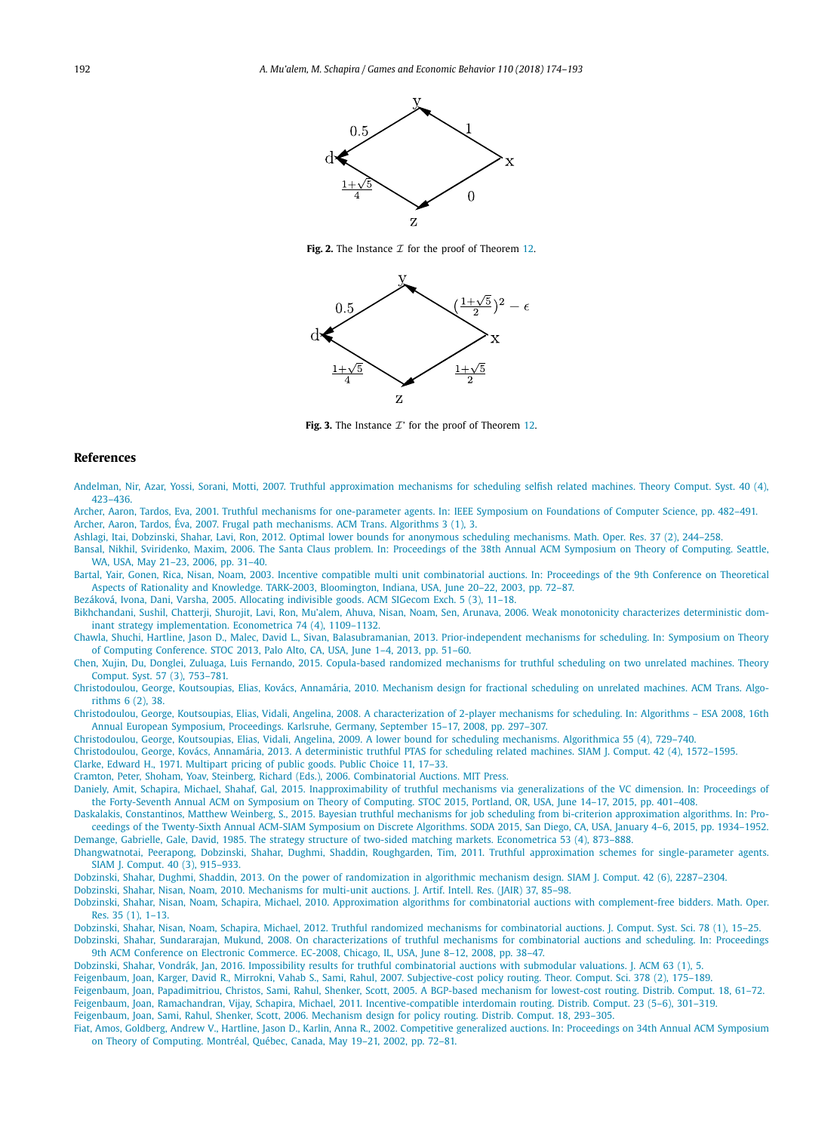<span id="page-18-0"></span>

**Fig. 2.** The Instance  $\mathcal I$  for the proof of Theorem [12.](#page-17-0)



Fig. 3. The Instance  $\mathcal{I}'$  for the proof of Theorem [12.](#page-17-0)

#### **References**

Andelman, Nir, Azar, Yossi, Sorani, Motti, 2007. Truthful [approximation](http://refhub.elsevier.com/S0899-8256(18)30018-6/bib417A6172s1) mechanisms for scheduling selfish related machines. Theory Comput. Syst. 40 (4), [423–436.](http://refhub.elsevier.com/S0899-8256(18)30018-6/bib417A6172s1)

Archer, Aaron, Tardos, Eva, 2001. Truthful mechanisms for [one-parameter](http://refhub.elsevier.com/S0899-8256(18)30018-6/bib4154s1) agents. In: IEEE Symposium on Foundations of Computer Science, pp. 482–491. Archer, Aaron, Tardos, Éva, 2007. Frugal path mechanisms. ACM Trans. [Algorithms 3](http://refhub.elsevier.com/S0899-8256(18)30018-6/bib41543032s1) (1), 3.

Ashlagi, Itai, Dobzinski, Shahar, Lavi, Ron, 2012. Optimal lower bounds for anonymous scheduling [mechanisms.](http://refhub.elsevier.com/S0899-8256(18)30018-6/bib4173686C616769s1) Math. Oper. Res. 37 (2), 244–258.

Bansal, Nikhil, Sviridenko, Maxim, 2006. The [Santa Claus problem.](http://refhub.elsevier.com/S0899-8256(18)30018-6/bib42533036s1) In: Proceedings of the 38th Annual ACM Symposium on Theory of Computing. Seattle, WA, USA, May 21–23, 2006, [pp. 31–40.](http://refhub.elsevier.com/S0899-8256(18)30018-6/bib42533036s1)

Bartal, Yair, Gonen, Rica, Nisan, Noam, 2003. Incentive compatible multi unit [combinatorial](http://refhub.elsevier.com/S0899-8256(18)30018-6/bib42474Es1) auctions. In: Proceedings of the 9th Conference on Theoretical Aspects of Rationality and Knowledge. TARK-2003, [Bloomington,](http://refhub.elsevier.com/S0899-8256(18)30018-6/bib42474Es1) Indiana, USA, June 20–22, 2003, pp. 72–87.

Bezáková, Ivona, Dani, Varsha, 2005. Allocating [indivisible](http://refhub.elsevier.com/S0899-8256(18)30018-6/bib42563035s1) goods. ACM SIGecom Exch. 5 (3), 11–18.

[Bikhchandani,](http://refhub.elsevier.com/S0899-8256(18)30018-6/bib4C4D4E42s1) Sushil, Chatterji, Shurojit, Lavi, Ron, Mu'alem, Ahuva, Nisan, Noam, Sen, Arunava, 2006. Weak monotonicity characterizes deterministic dominant strategy implementation. [Econometrica 74](http://refhub.elsevier.com/S0899-8256(18)30018-6/bib4C4D4E42s1) (4), 1109–1132.

Chawla, Shuchi, Hartline, Jason D., Malec, David L., Sivan, Balasubramanian, 2013. [Prior-independent](http://refhub.elsevier.com/S0899-8256(18)30018-6/bib436861776C612D4249432D53544F433133s1) mechanisms for scheduling. In: Symposium on Theory of Computing [Conference.](http://refhub.elsevier.com/S0899-8256(18)30018-6/bib436861776C612D4249432D53544F433133s1) STOC 2013, Palo Alto, CA, USA, June 1–4, 2013, pp. 51–60.

Chen, Xujin, Du, Donglei, Zuluaga, Luis Fernando, 2015. [Copula-based](http://refhub.elsevier.com/S0899-8256(18)30018-6/bib4368656Es1) randomized mechanisms for truthful scheduling on two unrelated machines. Theory Comput. Syst. 57 (3), [753–781.](http://refhub.elsevier.com/S0899-8256(18)30018-6/bib4368656Es1)

[Christodoulou,](http://refhub.elsevier.com/S0899-8256(18)30018-6/bib4672616374696F6E616C2D7363686564s1) George, Koutsoupias, Elias, Kovács, Annamária, 2010. Mechanism design for fractional scheduling on unrelated machines. ACM Trans. Algo[rithms 6](http://refhub.elsevier.com/S0899-8256(18)30018-6/bib4672616374696F6E616C2D7363686564s1) (2), 38.

Christodoulou, George, Koutsoupias, Elias, Vidali, Angelina, 2008. A [characterization](http://refhub.elsevier.com/S0899-8256(18)30018-6/bib434B562D63617261632D3038s1) of 2-player mechanisms for scheduling. In: Algorithms – ESA 2008, 16th Annual European Symposium, Proceedings. Karlsruhe, Germany, September 15–17, 2008, [pp. 297–307.](http://refhub.elsevier.com/S0899-8256(18)30018-6/bib434B562D63617261632D3038s1)

Christodoulou, George, Koutsoupias, Elias, Vidali, Angelina, 2009. A lower bound for scheduling mechanisms. [Algorithmica 55](http://refhub.elsevier.com/S0899-8256(18)30018-6/bib4B6F7574736F7570696173534F444132303037s1) (4), 729–740.

[Christodoulou,](http://refhub.elsevier.com/S0899-8256(18)30018-6/bib434Bs1) George, Kovács, Annamária, 2013. A deterministic truthful PTAS for scheduling related machines. SIAM J. Comput. 42 (4), 1572–1595.

Clarke, Edward H., 1971. Multipart pricing of public goods. Public [Choice 11,](http://refhub.elsevier.com/S0899-8256(18)30018-6/bib436C61726B65s1) 17–33.

Cramton, Peter, Shoham, Yoav, Steinberg, Richard (Eds.), 2006. [Combinatorial](http://refhub.elsevier.com/S0899-8256(18)30018-6/bib43412D737572s1) Auctions. MIT Press.

Daniely, Amit, Schapira, Michael, Shahaf, Gal, 2015. [Inapproximability](http://refhub.elsevier.com/S0899-8256(18)30018-6/bib4D494B453135s1) of truthful mechanisms via generalizations of the VC dimension. In: Proceedings of the [Forty-Seventh](http://refhub.elsevier.com/S0899-8256(18)30018-6/bib4D494B453135s1) Annual ACM on Symposium on Theory of Computing. STOC 2015, Portland, OR, USA, June 14–17, 2015, pp. 401–408.

Daskalakis, Constantinos, Matthew Weinberg, S., 2015. Bayesian truthful mechanisms for job scheduling from bi-criterion [approximation](http://refhub.elsevier.com/S0899-8256(18)30018-6/bib436F737469732D323031352D7363686564s1) algorithms. In: Proceedings of the Twenty-Sixth Annual ACM-SIAM Symposium on Discrete Algorithms. SODA 2015, San Diego, CA, USA, January 4–6, 2015, [pp. 1934–1952.](http://refhub.elsevier.com/S0899-8256(18)30018-6/bib436F737469732D323031352D7363686564s1) Demange, Gabrielle, Gale, David, 1985. The strategy structure of two-sided matching markets. [Econometrica 53](http://refhub.elsevier.com/S0899-8256(18)30018-6/bib47616C652D44656D616E67652D31393835s1) (4), 873–888.

Dhangwatnotai, Peerapong, Dobzinski, Shahar, Dughmi, Shaddin, Roughgarden, Tim, 2011. Truthful approximation schemes for [single-parameter](http://refhub.elsevier.com/S0899-8256(18)30018-6/bib73636865642D7266706173s1) agents. SIAM J. [Comput. 40](http://refhub.elsevier.com/S0899-8256(18)30018-6/bib73636865642D7266706173s1) (3), 915–933.

Dobzinski, Shahar, Dughmi, Shaddin, 2013. On the power of [randomization](http://refhub.elsevier.com/S0899-8256(18)30018-6/bib44443133s1) in algorithmic mechanism design. SIAM J. Comput. 42 (6), 2287–2304.

Dobzinski, Shahar, Nisan, Noam, 2010. [Mechanisms](http://refhub.elsevier.com/S0899-8256(18)30018-6/bib444E3130s1) for multi-unit auctions. J. Artif. Intell. Res. (JAIR) 37, 85–98.

Dobzinski, Shahar, Nisan, Noam, Schapira, Michael, 2010. Approximation algorithms for combinatorial auctions with [complement-free](http://refhub.elsevier.com/S0899-8256(18)30018-6/bib444E533035s1) bidders. Math. Oper. [Res. 35](http://refhub.elsevier.com/S0899-8256(18)30018-6/bib444E533035s1) (1), 1–13.

Dobzinski, Shahar, Nisan, Noam, Schapira, Michael, 2012. Truthful randomized mechanisms for [combinatorial](http://refhub.elsevier.com/S0899-8256(18)30018-6/bib444E533036s1) auctions. J. Comput. Syst. Sci. 78 (1), 15–25.

Dobzinski, Shahar, Sundararajan, Mukund, 2008. On [characterizations](http://refhub.elsevier.com/S0899-8256(18)30018-6/bib446F627A696E2D6D756B756E642D6368617261632D3038s1) of truthful mechanisms for combinatorial auctions and scheduling. In: Proceedings 9th ACM Conference on Electronic [Commerce.](http://refhub.elsevier.com/S0899-8256(18)30018-6/bib446F627A696E2D6D756B756E642D6368617261632D3038s1) EC-2008, Chicago, IL, USA, June 8–12, 2008, pp. 38–47.

Dobzinski, Shahar, Vondrák, Jan, 2016. Impossibility results for truthful [combinatorial](http://refhub.elsevier.com/S0899-8256(18)30018-6/bib446F623136s1) auctions with submodular valuations. J. ACM 63 (1), 5.

Feigenbaum, Joan, Karger, David R., Mirrokni, Vahab S., Sami, Rahul, 2007. [Subjective-cost](http://refhub.elsevier.com/S0899-8256(18)30018-6/bib464B4D53s1) policy routing. Theor. Comput. Sci. 378 (2), 175–189. Feigenbaum, Joan, [Papadimitriou,](http://refhub.elsevier.com/S0899-8256(18)30018-6/bib46505353s1) Christos, Sami, Rahul, Shenker, Scott, 2005. A BGP-based mechanism for lowest-cost routing. Distrib. Comput. 18, 61–72. Feigenbaum, Joan, Ramachandran, Vijay, Schapira, Michael, 2011. [Incentive-compatible](http://refhub.elsevier.com/S0899-8256(18)30018-6/bib465253s1) interdomain routing. Distrib. Comput. 23 (5–6), 301–319. [Feigenbaum,](http://refhub.elsevier.com/S0899-8256(18)30018-6/bib465353s1) Joan, Sami, Rahul, Shenker, Scott, 2006. Mechanism design for policy routing. Distrib. Comput. 18, 293–305.

Fiat, Amos, Goldberg, Andrew V., Hartline, Jason D., Karlin, Anna R., 2002. [Competitive](http://refhub.elsevier.com/S0899-8256(18)30018-6/bib4647484B3032s1) generalized auctions. In: Proceedings on 34th Annual ACM Symposium on Theory of [Computing.](http://refhub.elsevier.com/S0899-8256(18)30018-6/bib4647484B3032s1) Montréal, Québec, Canada, May 19–21, 2002, pp. 72–81.